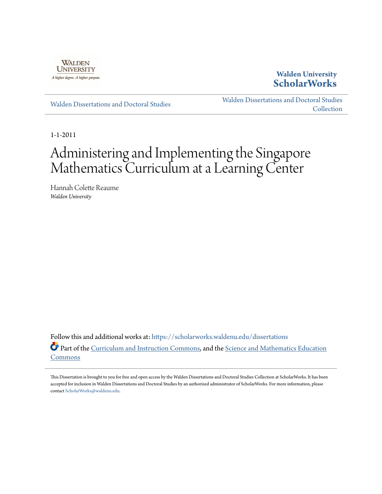

**Walden University [ScholarWorks](https://scholarworks.waldenu.edu?utm_source=scholarworks.waldenu.edu%2Fdissertations%2F1106&utm_medium=PDF&utm_campaign=PDFCoverPages)**

[Walden Dissertations and Doctoral Studies](https://scholarworks.waldenu.edu/dissertations?utm_source=scholarworks.waldenu.edu%2Fdissertations%2F1106&utm_medium=PDF&utm_campaign=PDFCoverPages)

[Walden Dissertations and Doctoral Studies](https://scholarworks.waldenu.edu/dissanddoc?utm_source=scholarworks.waldenu.edu%2Fdissertations%2F1106&utm_medium=PDF&utm_campaign=PDFCoverPages) [Collection](https://scholarworks.waldenu.edu/dissanddoc?utm_source=scholarworks.waldenu.edu%2Fdissertations%2F1106&utm_medium=PDF&utm_campaign=PDFCoverPages)

1-1-2011

# Administering and Implementing the Singapore Mathematics Curriculum at a Learning Center

Hannah Colette Reaume *Walden University*

Follow this and additional works at: [https://scholarworks.waldenu.edu/dissertations](https://scholarworks.waldenu.edu/dissertations?utm_source=scholarworks.waldenu.edu%2Fdissertations%2F1106&utm_medium=PDF&utm_campaign=PDFCoverPages) Part of the [Curriculum and Instruction Commons](http://network.bepress.com/hgg/discipline/786?utm_source=scholarworks.waldenu.edu%2Fdissertations%2F1106&utm_medium=PDF&utm_campaign=PDFCoverPages), and the [Science and Mathematics Education](http://network.bepress.com/hgg/discipline/800?utm_source=scholarworks.waldenu.edu%2Fdissertations%2F1106&utm_medium=PDF&utm_campaign=PDFCoverPages) [Commons](http://network.bepress.com/hgg/discipline/800?utm_source=scholarworks.waldenu.edu%2Fdissertations%2F1106&utm_medium=PDF&utm_campaign=PDFCoverPages)

This Dissertation is brought to you for free and open access by the Walden Dissertations and Doctoral Studies Collection at ScholarWorks. It has been accepted for inclusion in Walden Dissertations and Doctoral Studies by an authorized administrator of ScholarWorks. For more information, please contact [ScholarWorks@waldenu.edu](mailto:ScholarWorks@waldenu.edu).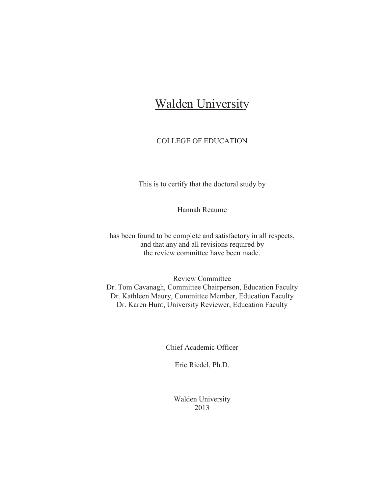## **Walden University**

## COLLEGE OF EDUCATION

This is to certify that the doctoral study by

Hannah Reaume

has been found to be complete and satisfactory in all respects, and that any and all revisions required by the review committee have been made.

Review Committee Dr. Tom Cavanagh, Committee Chairperson, Education Faculty Dr. Kathleen Maury, Committee Member, Education Faculty Dr. Karen Hunt, University Reviewer, Education Faculty

Chief Academic Officer

Eric Riedel, Ph.D.

Walden University 2013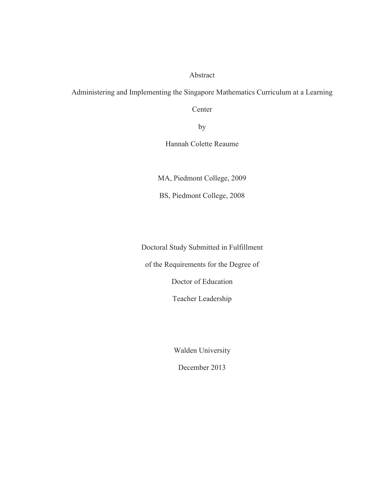## Abstract

Administering and Implementing the Singapore Mathematics Curriculum at a Learning

**Center** 

by

Hannah Colette Reaume

MA, Piedmont College, 2009

BS, Piedmont College, 2008

Doctoral Study Submitted in Fulfillment

of the Requirements for the Degree of

Doctor of Education

Teacher Leadership

Walden University

December 2013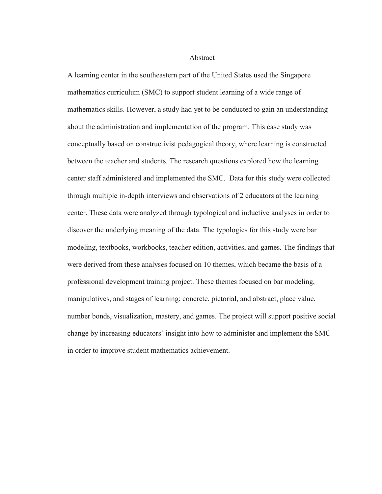Abstract

A learning center in the southeastern part of the United States used the Singapore mathematics curriculum (SMC) to support student learning of a wide range of mathematics skills. However, a study had yet to be conducted to gain an understanding about the administration and implementation of the program. This case study was conceptually based on constructivist pedagogical theory, where learning is constructed between the teacher and students. The research questions explored how the learning center staff administered and implemented the SMC. Data for this study were collected through multiple in-depth interviews and observations of 2 educators at the learning center. These data were analyzed through typological and inductive analyses in order to discover the underlying meaning of the data. The typologies for this study were bar modeling, textbooks, workbooks, teacher edition, activities, and games. The findings that were derived from these analyses focused on 10 themes, which became the basis of a professional development training project. These themes focused on bar modeling, manipulatives, and stages of learning: concrete, pictorial, and abstract, place value, number bonds, visualization, mastery, and games. The project will support positive social change by increasing educators' insight into how to administer and implement the SMC in order to improve student mathematics achievement.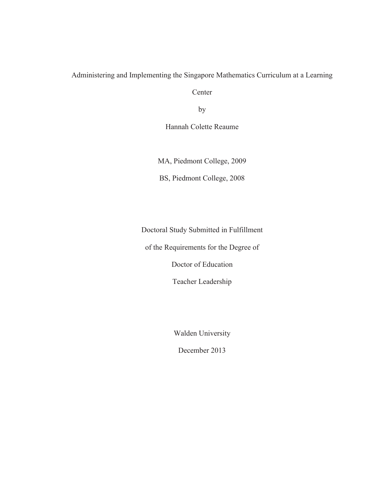## Administering and Implementing the Singapore Mathematics Curriculum at a Learning

Center

by

Hannah Colette Reaume

MA, Piedmont College, 2009 BS, Piedmont College, 2008

Doctoral Study Submitted in Fulfillment

of the Requirements for the Degree of

Doctor of Education

Teacher Leadership

Walden University

December 2013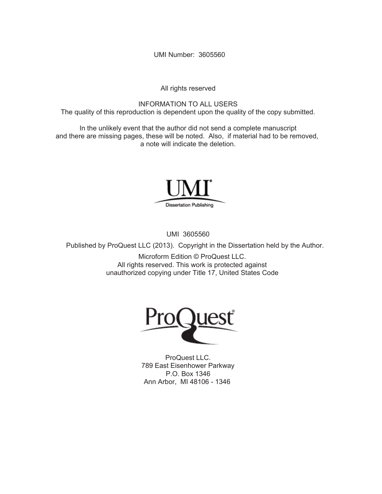UMI Number: 3605560

All rights reserved

INFORMATION TO ALL USERS The quality of this reproduction is dependent upon the quality of the copy submitted.

In the unlikely event that the author did not send a complete manuscript and there are missing pages, these will be noted. Also, if material had to be removed, a note will indicate the deletion.



UMI 3605560

Published by ProQuest LLC (2013). Copyright in the Dissertation held by the Author.

Microform Edition © ProQuest LLC. All rights reserved. This work is protected against unauthorized copying under Title 17, United States Code



ProQuest LLC. 789 East Eisenhower Parkway P.O. Box 1346 Ann Arbor, MI 48106 - 1346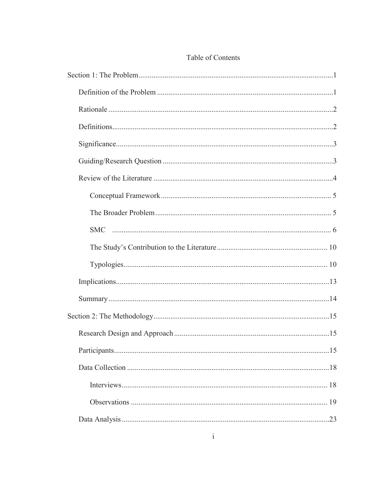## Table of Contents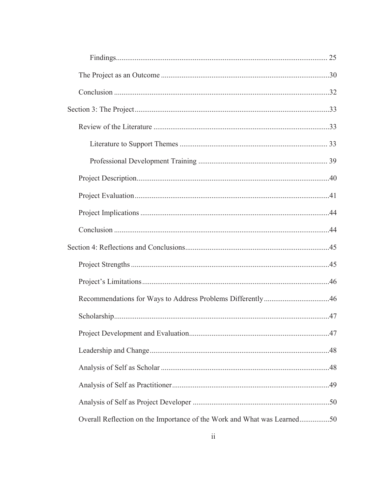| Overall Reflection on the Importance of the Work and What was Learned50 |  |
|-------------------------------------------------------------------------|--|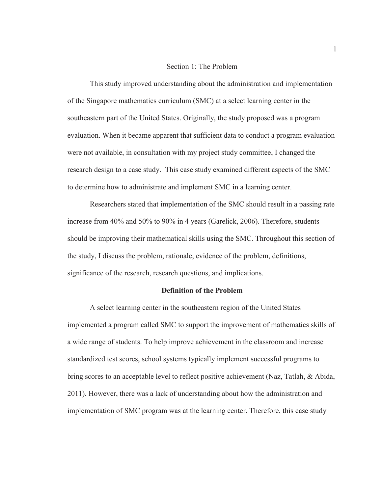## Section 1: The Problem

This study improved understanding about the administration and implementation of the Singapore mathematics curriculum (SMC) at a select learning center in the southeastern part of the United States. Originally, the study proposed was a program evaluation. When it became apparent that sufficient data to conduct a program evaluation were not available, in consultation with my project study committee, I changed the research design to a case study. This case study examined different aspects of the SMC to determine how to administrate and implement SMC in a learning center.

Researchers stated that implementation of the SMC should result in a passing rate increase from 40% and 50% to 90% in 4 years (Garelick, 2006). Therefore, students should be improving their mathematical skills using the SMC. Throughout this section of the study, I discuss the problem, rationale, evidence of the problem, definitions, significance of the research, research questions, and implications.

#### **Definition of the Problem**

A select learning center in the southeastern region of the United States implemented a program called SMC to support the improvement of mathematics skills of a wide range of students. To help improve achievement in the classroom and increase standardized test scores, school systems typically implement successful programs to bring scores to an acceptable level to reflect positive achievement (Naz, Tatlah, & Abida, 2011). However, there was a lack of understanding about how the administration and implementation of SMC program was at the learning center. Therefore, this case study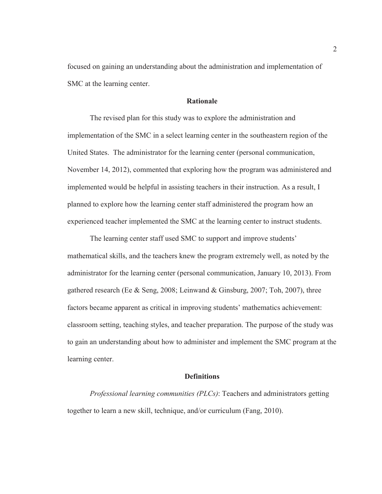focused on gaining an understanding about the administration and implementation of SMC at the learning center.

## **Rationale**

The revised plan for this study was to explore the administration and implementation of the SMC in a select learning center in the southeastern region of the United States. The administrator for the learning center (personal communication, November 14, 2012), commented that exploring how the program was administered and implemented would be helpful in assisting teachers in their instruction. As a result, I planned to explore how the learning center staff administered the program how an experienced teacher implemented the SMC at the learning center to instruct students.

The learning center staff used SMC to support and improve students' mathematical skills, and the teachers knew the program extremely well, as noted by the administrator for the learning center (personal communication, January 10, 2013). From gathered research (Ee & Seng, 2008; Leinwand & Ginsburg, 2007; Toh, 2007), three factors became apparent as critical in improving students' mathematics achievement: classroom setting, teaching styles, and teacher preparation. The purpose of the study was to gain an understanding about how to administer and implement the SMC program at the learning center.

## **Definitions**

*Professional learning communities (PLCs)*: Teachers and administrators getting together to learn a new skill, technique, and/or curriculum (Fang, 2010).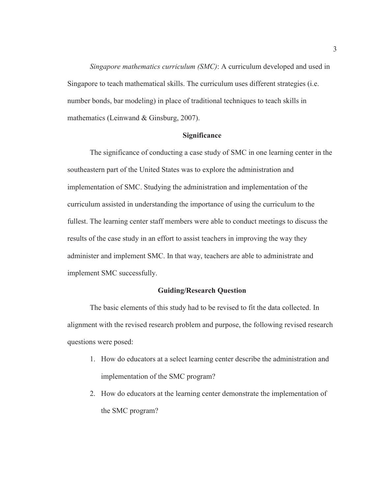*Singapore mathematics curriculum (SMC)*: A curriculum developed and used in Singapore to teach mathematical skills. The curriculum uses different strategies (i.e. number bonds, bar modeling) in place of traditional techniques to teach skills in mathematics (Leinwand & Ginsburg, 2007).

## **Significance**

The significance of conducting a case study of SMC in one learning center in the southeastern part of the United States was to explore the administration and implementation of SMC. Studying the administration and implementation of the curriculum assisted in understanding the importance of using the curriculum to the fullest. The learning center staff members were able to conduct meetings to discuss the results of the case study in an effort to assist teachers in improving the way they administer and implement SMC. In that way, teachers are able to administrate and implement SMC successfully.

## **Guiding/Research Question**

The basic elements of this study had to be revised to fit the data collected. In alignment with the revised research problem and purpose, the following revised research questions were posed:

- 1. How do educators at a select learning center describe the administration and implementation of the SMC program?
- 2. How do educators at the learning center demonstrate the implementation of the SMC program?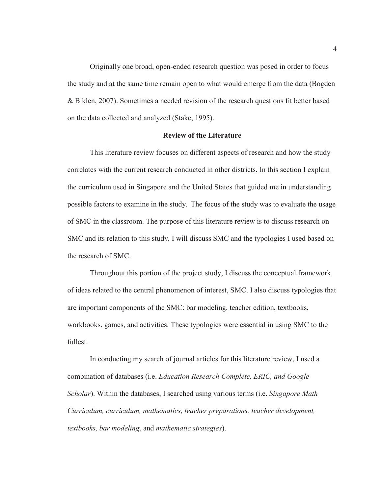Originally one broad, open-ended research question was posed in order to focus the study and at the same time remain open to what would emerge from the data (Bogden & Biklen, 2007). Sometimes a needed revision of the research questions fit better based on the data collected and analyzed (Stake, 1995).

## **Review of the Literature**

This literature review focuses on different aspects of research and how the study correlates with the current research conducted in other districts. In this section I explain the curriculum used in Singapore and the United States that guided me in understanding possible factors to examine in the study. The focus of the study was to evaluate the usage of SMC in the classroom. The purpose of this literature review is to discuss research on SMC and its relation to this study. I will discuss SMC and the typologies I used based on the research of SMC.

Throughout this portion of the project study, I discuss the conceptual framework of ideas related to the central phenomenon of interest, SMC. I also discuss typologies that are important components of the SMC: bar modeling, teacher edition, textbooks, workbooks, games, and activities. These typologies were essential in using SMC to the fullest.

In conducting my search of journal articles for this literature review, I used a combination of databases (i.e. *Education Research Complete, ERIC, and Google Scholar*). Within the databases, I searched using various terms (i.e. *Singapore Math Curriculum, curriculum, mathematics, teacher preparations, teacher development, textbooks, bar modeling*, and *mathematic strategies*).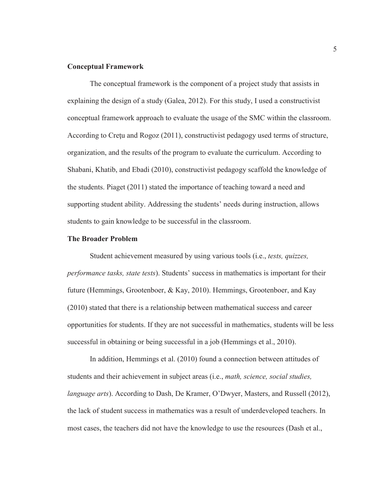## **Conceptual Framework**

The conceptual framework is the component of a project study that assists in explaining the design of a study (Galea, 2012). For this study, I used a constructivist conceptual framework approach to evaluate the usage of the SMC within the classroom. According to Creţu and Rogoz (2011), constructivist pedagogy used terms of structure, organization, and the results of the program to evaluate the curriculum. According to Shabani, Khatib, and Ebadi (2010), constructivist pedagogy scaffold the knowledge of the students. Piaget (2011) stated the importance of teaching toward a need and supporting student ability. Addressing the students' needs during instruction, allows students to gain knowledge to be successful in the classroom.

## **The Broader Problem**

 Student achievement measured by using various tools (i.e., *tests, quizzes, performance tasks, state tests*). Students' success in mathematics is important for their future (Hemmings, Grootenboer, & Kay, 2010). Hemmings, Grootenboer, and Kay (2010) stated that there is a relationship between mathematical success and career opportunities for students. If they are not successful in mathematics, students will be less successful in obtaining or being successful in a job (Hemmings et al., 2010).

 In addition, Hemmings et al. (2010) found a connection between attitudes of students and their achievement in subject areas (i.e., *math, science, social studies, language arts*). According to Dash, De Kramer, O'Dwyer, Masters, and Russell (2012), the lack of student success in mathematics was a result of underdeveloped teachers. In most cases, the teachers did not have the knowledge to use the resources (Dash et al.,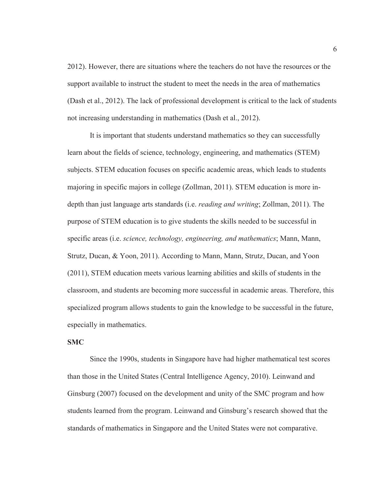2012). However, there are situations where the teachers do not have the resources or the support available to instruct the student to meet the needs in the area of mathematics (Dash et al., 2012). The lack of professional development is critical to the lack of students not increasing understanding in mathematics (Dash et al., 2012).

 It is important that students understand mathematics so they can successfully learn about the fields of science, technology, engineering, and mathematics (STEM) subjects. STEM education focuses on specific academic areas, which leads to students majoring in specific majors in college (Zollman, 2011). STEM education is more indepth than just language arts standards (i.e. *reading and writing*; Zollman, 2011). The purpose of STEM education is to give students the skills needed to be successful in specific areas (i.e. *science, technology, engineering, and mathematics*; Mann, Mann, Strutz, Ducan, & Yoon, 2011). According to Mann, Mann, Strutz, Ducan, and Yoon (2011), STEM education meets various learning abilities and skills of students in the classroom, and students are becoming more successful in academic areas. Therefore, this specialized program allows students to gain the knowledge to be successful in the future, especially in mathematics.

## **SMC**

Since the 1990s, students in Singapore have had higher mathematical test scores than those in the United States (Central Intelligence Agency, 2010). Leinwand and Ginsburg (2007) focused on the development and unity of the SMC program and how students learned from the program. Leinwand and Ginsburg's research showed that the standards of mathematics in Singapore and the United States were not comparative.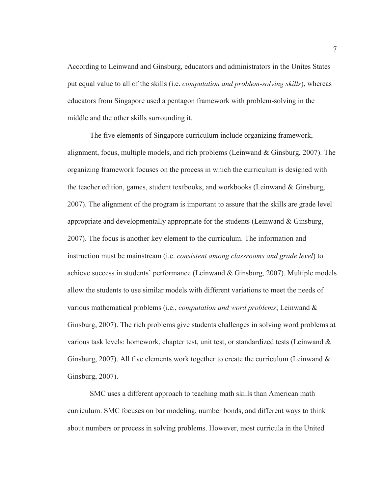According to Leinwand and Ginsburg, educators and administrators in the Unites States put equal value to all of the skills (i.e. *computation and problem-solving skills*), whereas educators from Singapore used a pentagon framework with problem-solving in the middle and the other skills surrounding it.

The five elements of Singapore curriculum include organizing framework, alignment, focus, multiple models, and rich problems (Leinwand & Ginsburg, 2007). The organizing framework focuses on the process in which the curriculum is designed with the teacher edition, games, student textbooks, and workbooks (Leinwand & Ginsburg, 2007). The alignment of the program is important to assure that the skills are grade level appropriate and developmentally appropriate for the students (Leinwand & Ginsburg, 2007). The focus is another key element to the curriculum. The information and instruction must be mainstream (i.e. *consistent among classrooms and grade level*) to achieve success in students' performance (Leinwand & Ginsburg, 2007). Multiple models allow the students to use similar models with different variations to meet the needs of various mathematical problems (i.e., *computation and word problems*; Leinwand & Ginsburg, 2007). The rich problems give students challenges in solving word problems at various task levels: homework, chapter test, unit test, or standardized tests (Leinwand & Ginsburg, 2007). All five elements work together to create the curriculum (Leinwand  $\&$ Ginsburg, 2007).

SMC uses a different approach to teaching math skills than American math curriculum. SMC focuses on bar modeling, number bonds, and different ways to think about numbers or process in solving problems. However, most curricula in the United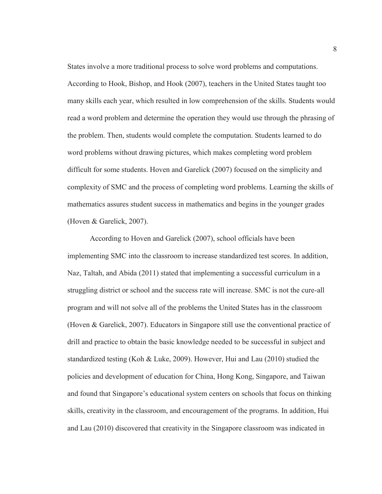States involve a more traditional process to solve word problems and computations. According to Hook, Bishop, and Hook (2007), teachers in the United States taught too many skills each year, which resulted in low comprehension of the skills. Students would read a word problem and determine the operation they would use through the phrasing of the problem. Then, students would complete the computation. Students learned to do word problems without drawing pictures, which makes completing word problem difficult for some students. Hoven and Garelick (2007) focused on the simplicity and complexity of SMC and the process of completing word problems. Learning the skills of mathematics assures student success in mathematics and begins in the younger grades (Hoven & Garelick, 2007).

According to Hoven and Garelick (2007), school officials have been implementing SMC into the classroom to increase standardized test scores. In addition, Naz, Taltah, and Abida (2011) stated that implementing a successful curriculum in a struggling district or school and the success rate will increase. SMC is not the cure-all program and will not solve all of the problems the United States has in the classroom (Hoven & Garelick, 2007). Educators in Singapore still use the conventional practice of drill and practice to obtain the basic knowledge needed to be successful in subject and standardized testing (Koh & Luke, 2009). However, Hui and Lau (2010) studied the policies and development of education for China, Hong Kong, Singapore, and Taiwan and found that Singapore's educational system centers on schools that focus on thinking skills, creativity in the classroom, and encouragement of the programs. In addition, Hui and Lau (2010) discovered that creativity in the Singapore classroom was indicated in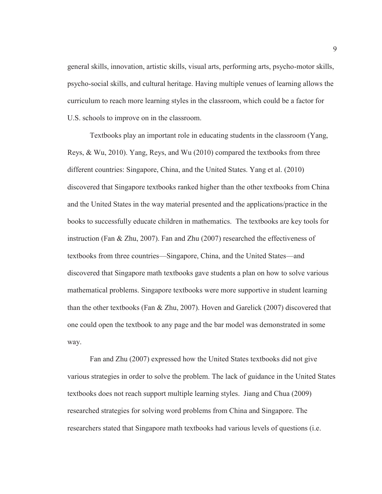general skills, innovation, artistic skills, visual arts, performing arts, psycho-motor skills, psycho-social skills, and cultural heritage. Having multiple venues of learning allows the curriculum to reach more learning styles in the classroom, which could be a factor for U.S. schools to improve on in the classroom.

Textbooks play an important role in educating students in the classroom (Yang, Reys, & Wu, 2010). Yang, Reys, and Wu (2010) compared the textbooks from three different countries: Singapore, China, and the United States. Yang et al. (2010) discovered that Singapore textbooks ranked higher than the other textbooks from China and the United States in the way material presented and the applications/practice in the books to successfully educate children in mathematics. The textbooks are key tools for instruction (Fan & Zhu, 2007). Fan and Zhu (2007) researched the effectiveness of textbooks from three countries—Singapore, China, and the United States—and discovered that Singapore math textbooks gave students a plan on how to solve various mathematical problems. Singapore textbooks were more supportive in student learning than the other textbooks (Fan & Zhu, 2007). Hoven and Garelick (2007) discovered that one could open the textbook to any page and the bar model was demonstrated in some way.

Fan and Zhu (2007) expressed how the United States textbooks did not give various strategies in order to solve the problem. The lack of guidance in the United States textbooks does not reach support multiple learning styles. Jiang and Chua (2009) researched strategies for solving word problems from China and Singapore. The researchers stated that Singapore math textbooks had various levels of questions (i.e.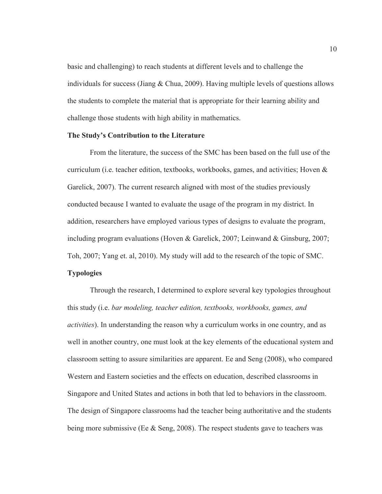basic and challenging) to reach students at different levels and to challenge the individuals for success (Jiang  $&$  Chua, 2009). Having multiple levels of questions allows the students to complete the material that is appropriate for their learning ability and challenge those students with high ability in mathematics.

## **The Study's Contribution to the Literature**

From the literature, the success of the SMC has been based on the full use of the curriculum (i.e. teacher edition, textbooks, workbooks, games, and activities; Hoven  $\&$ Garelick, 2007). The current research aligned with most of the studies previously conducted because I wanted to evaluate the usage of the program in my district. In addition, researchers have employed various types of designs to evaluate the program, including program evaluations (Hoven & Garelick, 2007; Leinwand & Ginsburg, 2007; Toh, 2007; Yang et. al, 2010). My study will add to the research of the topic of SMC.

## **Typologies**

 Through the research, I determined to explore several key typologies throughout this study (i.e. *bar modeling, teacher edition, textbooks, workbooks, games, and activities*). In understanding the reason why a curriculum works in one country, and as well in another country, one must look at the key elements of the educational system and classroom setting to assure similarities are apparent. Ee and Seng (2008), who compared Western and Eastern societies and the effects on education, described classrooms in Singapore and United States and actions in both that led to behaviors in the classroom. The design of Singapore classrooms had the teacher being authoritative and the students being more submissive (Ee & Seng, 2008). The respect students gave to teachers was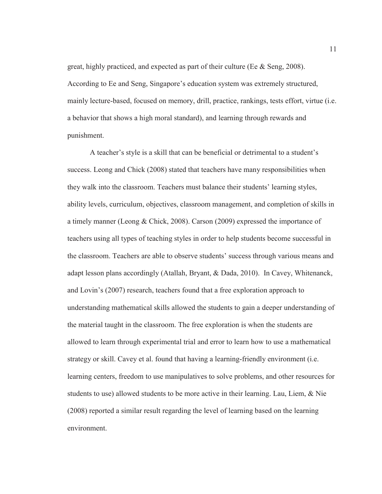great, highly practiced, and expected as part of their culture (Ee & Seng, 2008). According to Ee and Seng, Singapore's education system was extremely structured, mainly lecture-based, focused on memory, drill, practice, rankings, tests effort, virtue (i.e. a behavior that shows a high moral standard), and learning through rewards and punishment.

A teacher's style is a skill that can be beneficial or detrimental to a student's success. Leong and Chick (2008) stated that teachers have many responsibilities when they walk into the classroom. Teachers must balance their students' learning styles, ability levels, curriculum, objectives, classroom management, and completion of skills in a timely manner (Leong & Chick, 2008). Carson (2009) expressed the importance of teachers using all types of teaching styles in order to help students become successful in the classroom. Teachers are able to observe students' success through various means and adapt lesson plans accordingly (Atallah, Bryant, & Dada, 2010). In Cavey, Whitenanck, and Lovin's (2007) research, teachers found that a free exploration approach to understanding mathematical skills allowed the students to gain a deeper understanding of the material taught in the classroom. The free exploration is when the students are allowed to learn through experimental trial and error to learn how to use a mathematical strategy or skill. Cavey et al. found that having a learning-friendly environment (i.e. learning centers, freedom to use manipulatives to solve problems, and other resources for students to use) allowed students to be more active in their learning. Lau, Liem, & Nie (2008) reported a similar result regarding the level of learning based on the learning environment.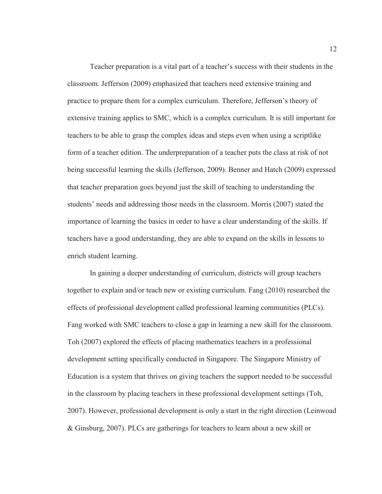Teacher preparation is a vital part of a teacher's success with their students in the classroom. Jefferson (2009) emphasized that teachers need extensive training and practice to prepare them for a complex curriculum. Therefore, Jefferson's theory of extensive training applies to SMC, which is a complex curriculum. It is still important for teachers to be able to grasp the complex ideas and steps even when using a scriptlike form of a teacher edition. The underpreparation of a teacher puts the class at risk of not being successful learning the skills (Jefferson, 2009). Benner and Hatch (2009) expressed that teacher preparation goes beyond just the skill of teaching to understanding the students' needs and addressing those needs in the classroom. Morris (2007) stated the importance of learning the basics in order to have a clear understanding of the skills. If teachers have a good understanding, they are able to expand on the skills in lessons to enrich student learning.

 In gaining a deeper understanding of curriculum, districts will group teachers together to explain and/or teach new or existing curriculum. Fang (2010) researched the effects of professional development called professional learning communities (PLCs). Fang worked with SMC teachers to close a gap in learning a new skill for the classroom. Toh (2007) explored the effects of placing mathematics teachers in a professional development setting specifically conducted in Singapore. The Singapore Ministry of Education is a system that thrives on giving teachers the support needed to be successful in the classroom by placing teachers in these professional development settings (Toh, 2007). However, professional development is only a start in the right direction (Leinwoad & Ginsburg, 2007). PLCs are gatherings for teachers to learn about a new skill or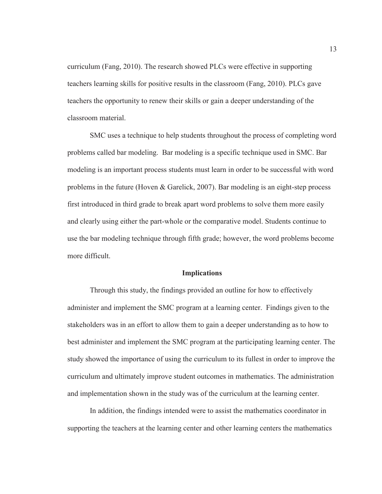curriculum (Fang, 2010). The research showed PLCs were effective in supporting teachers learning skills for positive results in the classroom (Fang, 2010). PLCs gave teachers the opportunity to renew their skills or gain a deeper understanding of the classroom material.

SMC uses a technique to help students throughout the process of completing word problems called bar modeling. Bar modeling is a specific technique used in SMC. Bar modeling is an important process students must learn in order to be successful with word problems in the future (Hoven & Garelick, 2007). Bar modeling is an eight-step process first introduced in third grade to break apart word problems to solve them more easily and clearly using either the part-whole or the comparative model. Students continue to use the bar modeling technique through fifth grade; however, the word problems become more difficult.

#### **Implications**

Through this study, the findings provided an outline for how to effectively administer and implement the SMC program at a learning center. Findings given to the stakeholders was in an effort to allow them to gain a deeper understanding as to how to best administer and implement the SMC program at the participating learning center. The study showed the importance of using the curriculum to its fullest in order to improve the curriculum and ultimately improve student outcomes in mathematics. The administration and implementation shown in the study was of the curriculum at the learning center.

In addition, the findings intended were to assist the mathematics coordinator in supporting the teachers at the learning center and other learning centers the mathematics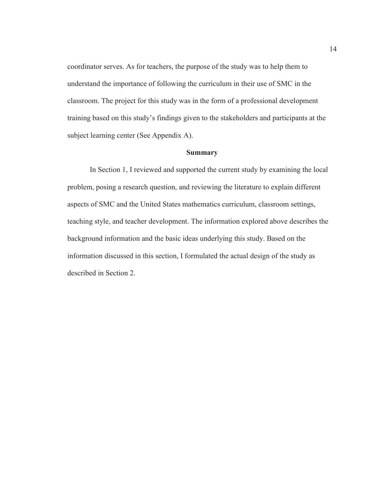coordinator serves. As for teachers, the purpose of the study was to help them to understand the importance of following the curriculum in their use of SMC in the classroom. The project for this study was in the form of a professional development training based on this study's findings given to the stakeholders and participants at the subject learning center (See Appendix A).

#### **Summary**

In Section 1, I reviewed and supported the current study by examining the local problem, posing a research question, and reviewing the literature to explain different aspects of SMC and the United States mathematics curriculum, classroom settings, teaching style, and teacher development. The information explored above describes the background information and the basic ideas underlying this study. Based on the information discussed in this section, I formulated the actual design of the study as described in Section 2.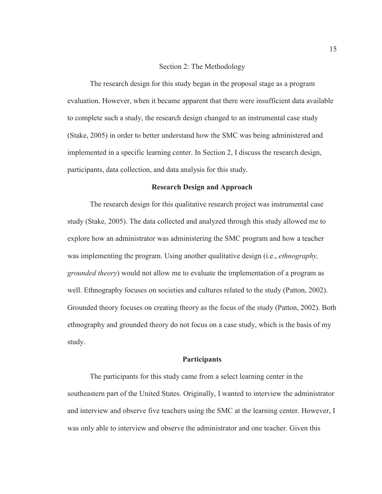## Section 2: The Methodology

The research design for this study began in the proposal stage as a program evaluation. However, when it became apparent that there were insufficient data available to complete such a study, the research design changed to an instrumental case study (Stake, 2005) in order to better understand how the SMC was being administered and implemented in a specific learning center. In Section 2, I discuss the research design, participants, data collection, and data analysis for this study.

## **Research Design and Approach**

The research design for this qualitative research project was instrumental case study (Stake, 2005). The data collected and analyzed through this study allowed me to explore how an administrator was administering the SMC program and how a teacher was implementing the program. Using another qualitative design (i.e., *ethnography, grounded theory*) would not allow me to evaluate the implementation of a program as well. Ethnography focuses on societies and cultures related to the study (Patton, 2002). Grounded theory focuses on creating theory as the focus of the study (Patton, 2002). Both ethnography and grounded theory do not focus on a case study, which is the basis of my study.

#### **Participants**

The participants for this study came from a select learning center in the southeastern part of the United States. Originally, I wanted to interview the administrator and interview and observe five teachers using the SMC at the learning center. However, I was only able to interview and observe the administrator and one teacher. Given this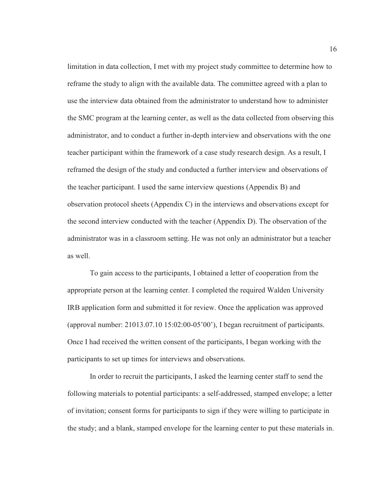limitation in data collection, I met with my project study committee to determine how to reframe the study to align with the available data. The committee agreed with a plan to use the interview data obtained from the administrator to understand how to administer the SMC program at the learning center, as well as the data collected from observing this administrator, and to conduct a further in-depth interview and observations with the one teacher participant within the framework of a case study research design. As a result, I reframed the design of the study and conducted a further interview and observations of the teacher participant. I used the same interview questions (Appendix B) and observation protocol sheets (Appendix C) in the interviews and observations except for the second interview conducted with the teacher (Appendix D). The observation of the administrator was in a classroom setting. He was not only an administrator but a teacher as well.

To gain access to the participants, I obtained a letter of cooperation from the appropriate person at the learning center. I completed the required Walden University IRB application form and submitted it for review. Once the application was approved (approval number: 21013.07.10 15:02:00-05'00'), I began recruitment of participants. Once I had received the written consent of the participants, I began working with the participants to set up times for interviews and observations.

In order to recruit the participants, I asked the learning center staff to send the following materials to potential participants: a self-addressed, stamped envelope; a letter of invitation; consent forms for participants to sign if they were willing to participate in the study; and a blank, stamped envelope for the learning center to put these materials in.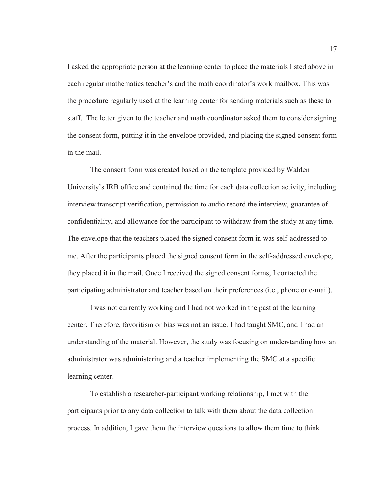I asked the appropriate person at the learning center to place the materials listed above in each regular mathematics teacher's and the math coordinator's work mailbox. This was the procedure regularly used at the learning center for sending materials such as these to staff. The letter given to the teacher and math coordinator asked them to consider signing the consent form, putting it in the envelope provided, and placing the signed consent form in the mail.

The consent form was created based on the template provided by Walden University's IRB office and contained the time for each data collection activity, including interview transcript verification, permission to audio record the interview, guarantee of confidentiality, and allowance for the participant to withdraw from the study at any time. The envelope that the teachers placed the signed consent form in was self-addressed to me. After the participants placed the signed consent form in the self-addressed envelope, they placed it in the mail. Once I received the signed consent forms, I contacted the participating administrator and teacher based on their preferences (i.e., phone or e-mail).

I was not currently working and I had not worked in the past at the learning center. Therefore, favoritism or bias was not an issue. I had taught SMC, and I had an understanding of the material. However, the study was focusing on understanding how an administrator was administering and a teacher implementing the SMC at a specific learning center.

To establish a researcher-participant working relationship, I met with the participants prior to any data collection to talk with them about the data collection process. In addition, I gave them the interview questions to allow them time to think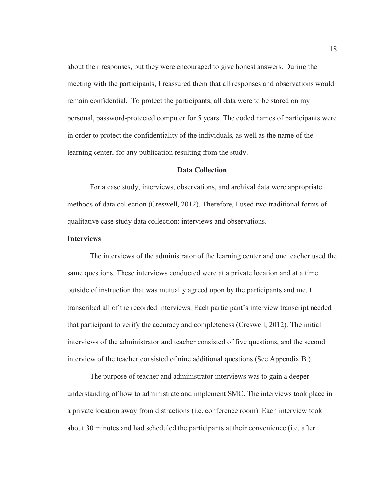about their responses, but they were encouraged to give honest answers. During the meeting with the participants, I reassured them that all responses and observations would remain confidential. To protect the participants, all data were to be stored on my personal, password-protected computer for 5 years. The coded names of participants were in order to protect the confidentiality of the individuals, as well as the name of the learning center, for any publication resulting from the study.

#### **Data Collection**

For a case study, interviews, observations, and archival data were appropriate methods of data collection (Creswell, 2012). Therefore, I used two traditional forms of qualitative case study data collection: interviews and observations.

## **Interviews**

The interviews of the administrator of the learning center and one teacher used the same questions. These interviews conducted were at a private location and at a time outside of instruction that was mutually agreed upon by the participants and me. I transcribed all of the recorded interviews. Each participant's interview transcript needed that participant to verify the accuracy and completeness (Creswell, 2012). The initial interviews of the administrator and teacher consisted of five questions, and the second interview of the teacher consisted of nine additional questions (See Appendix B.)

The purpose of teacher and administrator interviews was to gain a deeper understanding of how to administrate and implement SMC. The interviews took place in a private location away from distractions (i.e. conference room). Each interview took about 30 minutes and had scheduled the participants at their convenience (i.e. after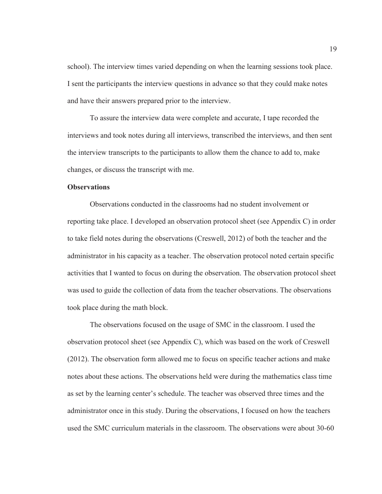school). The interview times varied depending on when the learning sessions took place. I sent the participants the interview questions in advance so that they could make notes and have their answers prepared prior to the interview.

To assure the interview data were complete and accurate, I tape recorded the interviews and took notes during all interviews, transcribed the interviews, and then sent the interview transcripts to the participants to allow them the chance to add to, make changes, or discuss the transcript with me.

## **Observations**

Observations conducted in the classrooms had no student involvement or reporting take place. I developed an observation protocol sheet (see Appendix C) in order to take field notes during the observations (Creswell, 2012) of both the teacher and the administrator in his capacity as a teacher. The observation protocol noted certain specific activities that I wanted to focus on during the observation. The observation protocol sheet was used to guide the collection of data from the teacher observations. The observations took place during the math block.

The observations focused on the usage of SMC in the classroom. I used the observation protocol sheet (see Appendix C), which was based on the work of Creswell (2012). The observation form allowed me to focus on specific teacher actions and make notes about these actions. The observations held were during the mathematics class time as set by the learning center's schedule. The teacher was observed three times and the administrator once in this study. During the observations, I focused on how the teachers used the SMC curriculum materials in the classroom. The observations were about 30-60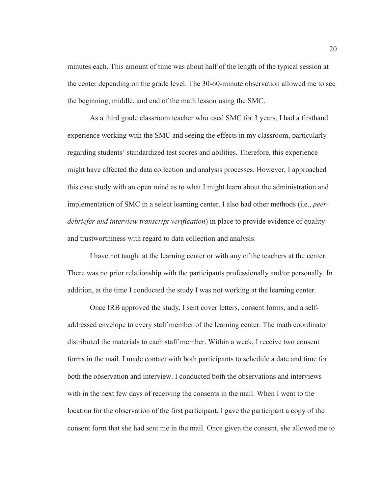minutes each. This amount of time was about half of the length of the typical session at the center depending on the grade level. The 30-60-minute observation allowed me to see the beginning, middle, and end of the math lesson using the SMC.

As a third grade classroom teacher who used SMC for 3 years, I had a firsthand experience working with the SMC and seeing the effects in my classroom, particularly regarding students' standardized test scores and abilities. Therefore, this experience might have affected the data collection and analysis processes. However, I approached this case study with an open mind as to what I might learn about the administration and implementation of SMC in a select learning center. I also had other methods (i.e., *peerdebriefer and interview transcript verification*) in place to provide evidence of quality and trustworthiness with regard to data collection and analysis.

I have not taught at the learning center or with any of the teachers at the center. There was no prior relationship with the participants professionally and/or personally. In addition, at the time I conducted the study I was not working at the learning center.

Once IRB approved the study, I sent cover letters, consent forms, and a selfaddressed envelope to every staff member of the learning center. The math coordinator distributed the materials to each staff member. Within a week, I receive two consent forms in the mail. I made contact with both participants to schedule a date and time for both the observation and interview. I conducted both the observations and interviews with in the next few days of receiving the consents in the mail. When I went to the location for the observation of the first participant, I gave the participant a copy of the consent form that she had sent me in the mail. Once given the consent, she allowed me to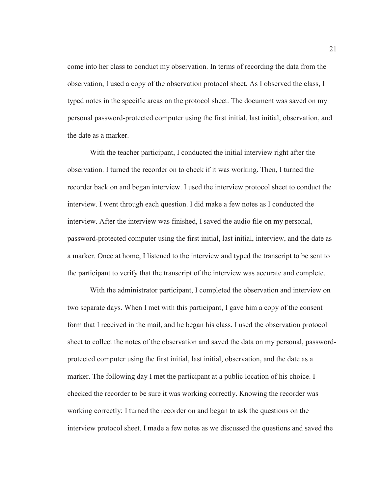come into her class to conduct my observation. In terms of recording the data from the observation, I used a copy of the observation protocol sheet. As I observed the class, I typed notes in the specific areas on the protocol sheet. The document was saved on my personal password-protected computer using the first initial, last initial, observation, and the date as a marker.

With the teacher participant, I conducted the initial interview right after the observation. I turned the recorder on to check if it was working. Then, I turned the recorder back on and began interview. I used the interview protocol sheet to conduct the interview. I went through each question. I did make a few notes as I conducted the interview. After the interview was finished, I saved the audio file on my personal, password-protected computer using the first initial, last initial, interview, and the date as a marker. Once at home, I listened to the interview and typed the transcript to be sent to the participant to verify that the transcript of the interview was accurate and complete.

With the administrator participant, I completed the observation and interview on two separate days. When I met with this participant, I gave him a copy of the consent form that I received in the mail, and he began his class. I used the observation protocol sheet to collect the notes of the observation and saved the data on my personal, passwordprotected computer using the first initial, last initial, observation, and the date as a marker. The following day I met the participant at a public location of his choice. I checked the recorder to be sure it was working correctly. Knowing the recorder was working correctly; I turned the recorder on and began to ask the questions on the interview protocol sheet. I made a few notes as we discussed the questions and saved the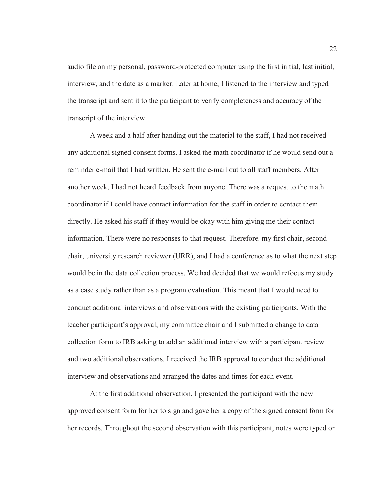audio file on my personal, password-protected computer using the first initial, last initial, interview, and the date as a marker. Later at home, I listened to the interview and typed the transcript and sent it to the participant to verify completeness and accuracy of the transcript of the interview.

A week and a half after handing out the material to the staff, I had not received any additional signed consent forms. I asked the math coordinator if he would send out a reminder e-mail that I had written. He sent the e-mail out to all staff members. After another week, I had not heard feedback from anyone. There was a request to the math coordinator if I could have contact information for the staff in order to contact them directly. He asked his staff if they would be okay with him giving me their contact information. There were no responses to that request. Therefore, my first chair, second chair, university research reviewer (URR), and I had a conference as to what the next step would be in the data collection process. We had decided that we would refocus my study as a case study rather than as a program evaluation. This meant that I would need to conduct additional interviews and observations with the existing participants. With the teacher participant's approval, my committee chair and I submitted a change to data collection form to IRB asking to add an additional interview with a participant review and two additional observations. I received the IRB approval to conduct the additional interview and observations and arranged the dates and times for each event.

At the first additional observation, I presented the participant with the new approved consent form for her to sign and gave her a copy of the signed consent form for her records. Throughout the second observation with this participant, notes were typed on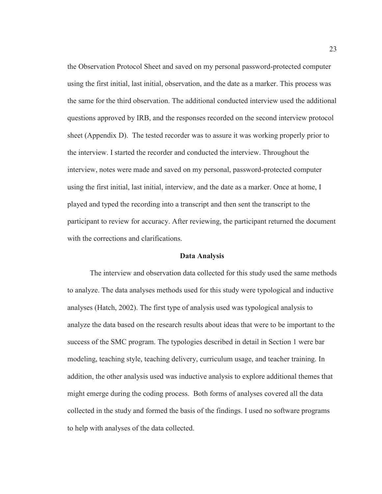the Observation Protocol Sheet and saved on my personal password-protected computer using the first initial, last initial, observation, and the date as a marker. This process was the same for the third observation. The additional conducted interview used the additional questions approved by IRB, and the responses recorded on the second interview protocol sheet (Appendix D). The tested recorder was to assure it was working properly prior to the interview. I started the recorder and conducted the interview. Throughout the interview, notes were made and saved on my personal, password-protected computer using the first initial, last initial, interview, and the date as a marker. Once at home, I played and typed the recording into a transcript and then sent the transcript to the participant to review for accuracy. After reviewing, the participant returned the document with the corrections and clarifications.

#### **Data Analysis**

The interview and observation data collected for this study used the same methods to analyze. The data analyses methods used for this study were typological and inductive analyses (Hatch, 2002). The first type of analysis used was typological analysis to analyze the data based on the research results about ideas that were to be important to the success of the SMC program. The typologies described in detail in Section 1 were bar modeling, teaching style, teaching delivery, curriculum usage, and teacher training. In addition, the other analysis used was inductive analysis to explore additional themes that might emerge during the coding process. Both forms of analyses covered all the data collected in the study and formed the basis of the findings. I used no software programs to help with analyses of the data collected.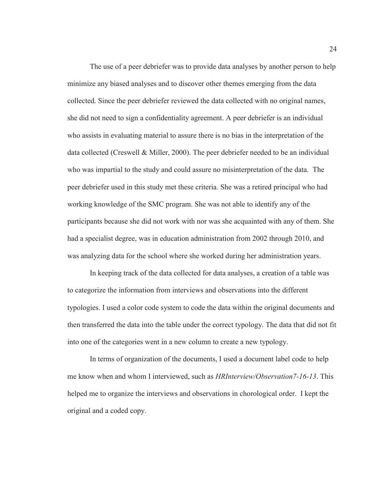The use of a peer debriefer was to provide data analyses by another person to help minimize any biased analyses and to discover other themes emerging from the data collected. Since the peer debriefer reviewed the data collected with no original names, she did not need to sign a confidentiality agreement. A peer debriefer is an individual who assists in evaluating material to assure there is no bias in the interpretation of the data collected (Creswell & Miller, 2000). The peer debriefer needed to be an individual who was impartial to the study and could assure no misinterpretation of the data. The peer debriefer used in this study met these criteria. She was a retired principal who had working knowledge of the SMC program. She was not able to identify any of the participants because she did not work with nor was she acquainted with any of them. She had a specialist degree, was in education administration from 2002 through 2010, and was analyzing data for the school where she worked during her administration years.

 In keeping track of the data collected for data analyses, a creation of a table was to categorize the information from interviews and observations into the different typologies. I used a color code system to code the data within the original documents and then transferred the data into the table under the correct typology. The data that did not fit into one of the categories went in a new column to create a new typology.

 In terms of organization of the documents, I used a document label code to help me know when and whom I interviewed, such as *HRInterview/Observation7-16-13*. This helped me to organize the interviews and observations in chorological order. I kept the original and a coded copy.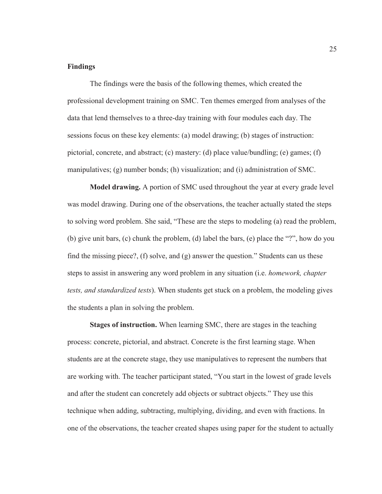## **Findings**

 The findings were the basis of the following themes, which created the professional development training on SMC. Ten themes emerged from analyses of the data that lend themselves to a three-day training with four modules each day. The sessions focus on these key elements: (a) model drawing; (b) stages of instruction: pictorial, concrete, and abstract; (c) mastery: (d) place value/bundling; (e) games; (f) manipulatives; (g) number bonds; (h) visualization; and (i) administration of SMC.

 **Model drawing.** A portion of SMC used throughout the year at every grade level was model drawing. During one of the observations, the teacher actually stated the steps to solving word problem. She said, "These are the steps to modeling (a) read the problem, (b) give unit bars, (c) chunk the problem, (d) label the bars, (e) place the "?", how do you find the missing piece?, (f) solve, and (g) answer the question." Students can us these steps to assist in answering any word problem in any situation (i.e. *homework, chapter tests, and standardized tests*). When students get stuck on a problem, the modeling gives the students a plan in solving the problem.

 **Stages of instruction.** When learning SMC, there are stages in the teaching process: concrete, pictorial, and abstract. Concrete is the first learning stage. When students are at the concrete stage, they use manipulatives to represent the numbers that are working with. The teacher participant stated, "You start in the lowest of grade levels and after the student can concretely add objects or subtract objects." They use this technique when adding, subtracting, multiplying, dividing, and even with fractions. In one of the observations, the teacher created shapes using paper for the student to actually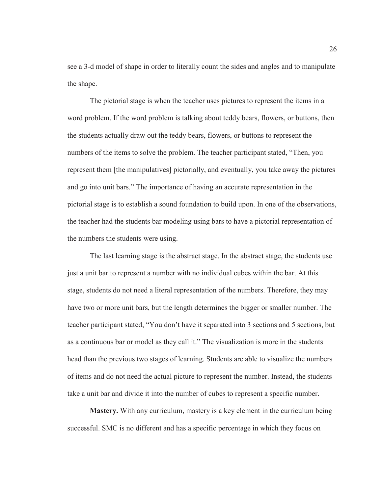see a 3-d model of shape in order to literally count the sides and angles and to manipulate the shape.

The pictorial stage is when the teacher uses pictures to represent the items in a word problem. If the word problem is talking about teddy bears, flowers, or buttons, then the students actually draw out the teddy bears, flowers, or buttons to represent the numbers of the items to solve the problem. The teacher participant stated, "Then, you represent them [the manipulatives] pictorially, and eventually, you take away the pictures and go into unit bars." The importance of having an accurate representation in the pictorial stage is to establish a sound foundation to build upon. In one of the observations, the teacher had the students bar modeling using bars to have a pictorial representation of the numbers the students were using.

The last learning stage is the abstract stage. In the abstract stage, the students use just a unit bar to represent a number with no individual cubes within the bar. At this stage, students do not need a literal representation of the numbers. Therefore, they may have two or more unit bars, but the length determines the bigger or smaller number. The teacher participant stated, "You don't have it separated into 3 sections and 5 sections, but as a continuous bar or model as they call it." The visualization is more in the students head than the previous two stages of learning. Students are able to visualize the numbers of items and do not need the actual picture to represent the number. Instead, the students take a unit bar and divide it into the number of cubes to represent a specific number.

 **Mastery.** With any curriculum, mastery is a key element in the curriculum being successful. SMC is no different and has a specific percentage in which they focus on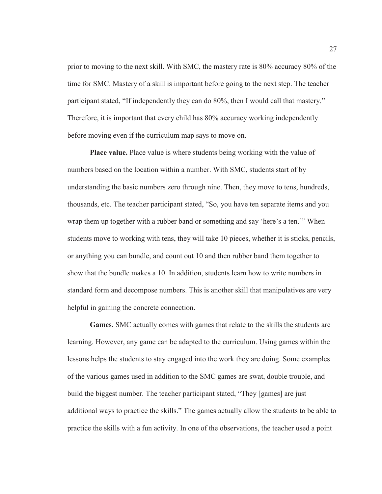prior to moving to the next skill. With SMC, the mastery rate is 80% accuracy 80% of the time for SMC. Mastery of a skill is important before going to the next step. The teacher participant stated, "If independently they can do 80%, then I would call that mastery." Therefore, it is important that every child has 80% accuracy working independently before moving even if the curriculum map says to move on.

 **Place value.** Place value is where students being working with the value of numbers based on the location within a number. With SMC, students start of by understanding the basic numbers zero through nine. Then, they move to tens, hundreds, thousands, etc. The teacher participant stated, "So, you have ten separate items and you wrap them up together with a rubber band or something and say 'here's a ten.'" When students move to working with tens, they will take 10 pieces, whether it is sticks, pencils, or anything you can bundle, and count out 10 and then rubber band them together to show that the bundle makes a 10. In addition, students learn how to write numbers in standard form and decompose numbers. This is another skill that manipulatives are very helpful in gaining the concrete connection.

 **Games.** SMC actually comes with games that relate to the skills the students are learning. However, any game can be adapted to the curriculum. Using games within the lessons helps the students to stay engaged into the work they are doing. Some examples of the various games used in addition to the SMC games are swat, double trouble, and build the biggest number. The teacher participant stated, "They [games] are just additional ways to practice the skills." The games actually allow the students to be able to practice the skills with a fun activity. In one of the observations, the teacher used a point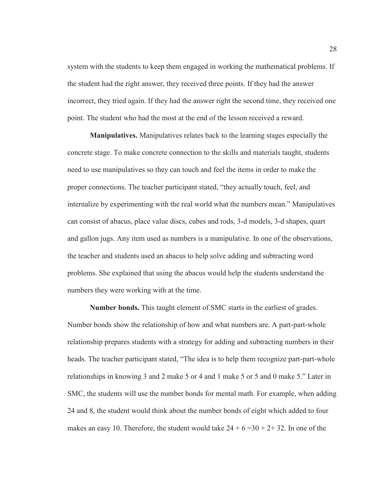system with the students to keep them engaged in working the mathematical problems. If the student had the right answer, they received three points. If they had the answer incorrect, they tried again. If they had the answer right the second time, they received one point. The student who had the most at the end of the lesson received a reward.

 **Manipulatives.** Manipulatives relates back to the learning stages especially the concrete stage. To make concrete connection to the skills and materials taught, students need to use manipulatives so they can touch and feel the items in order to make the proper connections. The teacher participant stated, "they actually touch, feel, and internalize by experimenting with the real world what the numbers mean." Manipulatives can consist of abacus, place value discs, cubes and rods, 3-d models, 3-d shapes, quart and gallon jugs. Any item used as numbers is a manipulative. In one of the observations, the teacher and students used an abacus to help solve adding and subtracting word problems. She explained that using the abacus would help the students understand the numbers they were working with at the time.

 **Number bonds.** This taught element of SMC starts in the earliest of grades. Number bonds show the relationship of how and what numbers are. A part-part-whole relationship prepares students with a strategy for adding and subtracting numbers in their heads. The teacher participant stated, "The idea is to help them recognize part-part-whole relationships in knowing 3 and 2 make 5 or 4 and 1 make 5 or 5 and 0 make 5." Later in SMC, the students will use the number bonds for mental math. For example, when adding 24 and 8, the student would think about the number bonds of eight which added to four makes an easy 10. Therefore, the student would take  $24 + 6 = 30 + 2 + 32$ . In one of the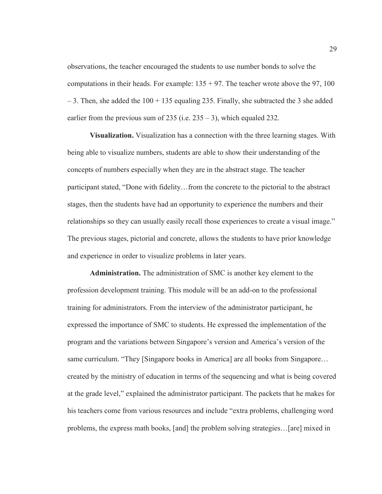observations, the teacher encouraged the students to use number bonds to solve the computations in their heads. For example:  $135 + 97$ . The teacher wrote above the 97, 100  $-3$ . Then, she added the  $100 + 135$  equaling 235. Finally, she subtracted the 3 she added earlier from the previous sum of  $235$  (i.e.  $235 - 3$ ), which equaled 232.

 **Visualization.** Visualization has a connection with the three learning stages. With being able to visualize numbers, students are able to show their understanding of the concepts of numbers especially when they are in the abstract stage. The teacher participant stated, "Done with fidelity…from the concrete to the pictorial to the abstract stages, then the students have had an opportunity to experience the numbers and their relationships so they can usually easily recall those experiences to create a visual image." The previous stages, pictorial and concrete, allows the students to have prior knowledge and experience in order to visualize problems in later years.

 **Administration.** The administration of SMC is another key element to the profession development training. This module will be an add-on to the professional training for administrators. From the interview of the administrator participant, he expressed the importance of SMC to students. He expressed the implementation of the program and the variations between Singapore's version and America's version of the same curriculum. "They [Singapore books in America] are all books from Singapore... created by the ministry of education in terms of the sequencing and what is being covered at the grade level," explained the administrator participant. The packets that he makes for his teachers come from various resources and include "extra problems, challenging word problems, the express math books, [and] the problem solving strategies…[are] mixed in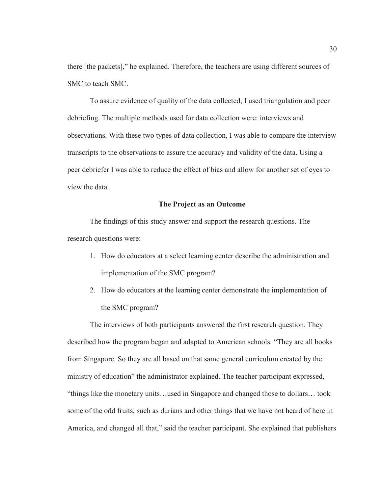there [the packets]," he explained. Therefore, the teachers are using different sources of SMC to teach SMC.

 To assure evidence of quality of the data collected, I used triangulation and peer debriefing. The multiple methods used for data collection were: interviews and observations. With these two types of data collection, I was able to compare the interview transcripts to the observations to assure the accuracy and validity of the data. Using a peer debriefer I was able to reduce the effect of bias and allow for another set of eyes to view the data.

## **The Project as an Outcome**

The findings of this study answer and support the research questions. The research questions were:

- 1. How do educators at a select learning center describe the administration and implementation of the SMC program?
- 2. How do educators at the learning center demonstrate the implementation of the SMC program?

The interviews of both participants answered the first research question. They described how the program began and adapted to American schools. "They are all books from Singapore. So they are all based on that same general curriculum created by the ministry of education" the administrator explained. The teacher participant expressed, "things like the monetary units…used in Singapore and changed those to dollars… took some of the odd fruits, such as durians and other things that we have not heard of here in America, and changed all that," said the teacher participant. She explained that publishers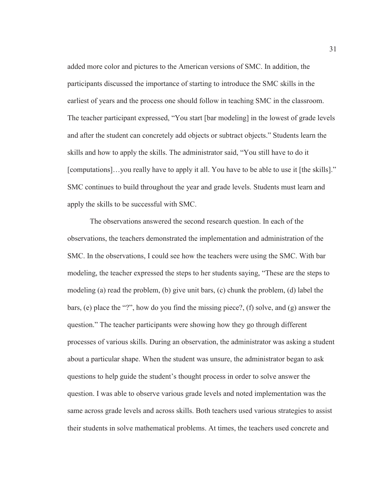added more color and pictures to the American versions of SMC. In addition, the participants discussed the importance of starting to introduce the SMC skills in the earliest of years and the process one should follow in teaching SMC in the classroom. The teacher participant expressed, "You start [bar modeling] in the lowest of grade levels and after the student can concretely add objects or subtract objects." Students learn the skills and how to apply the skills. The administrator said, "You still have to do it [computations]…you really have to apply it all. You have to be able to use it [the skills]." SMC continues to build throughout the year and grade levels. Students must learn and apply the skills to be successful with SMC.

 The observations answered the second research question. In each of the observations, the teachers demonstrated the implementation and administration of the SMC. In the observations, I could see how the teachers were using the SMC. With bar modeling, the teacher expressed the steps to her students saying, "These are the steps to modeling (a) read the problem, (b) give unit bars, (c) chunk the problem, (d) label the bars, (e) place the "?", how do you find the missing piece?, (f) solve, and (g) answer the question." The teacher participants were showing how they go through different processes of various skills. During an observation, the administrator was asking a student about a particular shape. When the student was unsure, the administrator began to ask questions to help guide the student's thought process in order to solve answer the question. I was able to observe various grade levels and noted implementation was the same across grade levels and across skills. Both teachers used various strategies to assist their students in solve mathematical problems. At times, the teachers used concrete and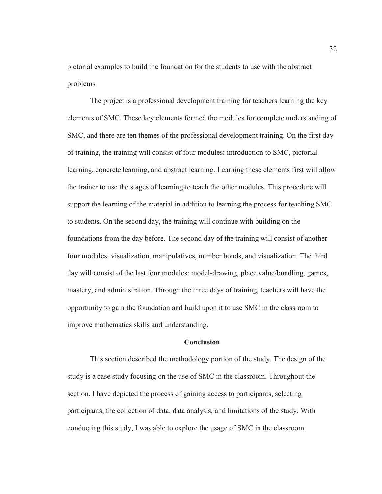pictorial examples to build the foundation for the students to use with the abstract problems.

The project is a professional development training for teachers learning the key elements of SMC. These key elements formed the modules for complete understanding of SMC, and there are ten themes of the professional development training. On the first day of training, the training will consist of four modules: introduction to SMC, pictorial learning, concrete learning, and abstract learning. Learning these elements first will allow the trainer to use the stages of learning to teach the other modules. This procedure will support the learning of the material in addition to learning the process for teaching SMC to students. On the second day, the training will continue with building on the foundations from the day before. The second day of the training will consist of another four modules: visualization, manipulatives, number bonds, and visualization. The third day will consist of the last four modules: model-drawing, place value/bundling, games, mastery, and administration. Through the three days of training, teachers will have the opportunity to gain the foundation and build upon it to use SMC in the classroom to improve mathematics skills and understanding.

## **Conclusion**

 This section described the methodology portion of the study. The design of the study is a case study focusing on the use of SMC in the classroom. Throughout the section, I have depicted the process of gaining access to participants, selecting participants, the collection of data, data analysis, and limitations of the study. With conducting this study, I was able to explore the usage of SMC in the classroom.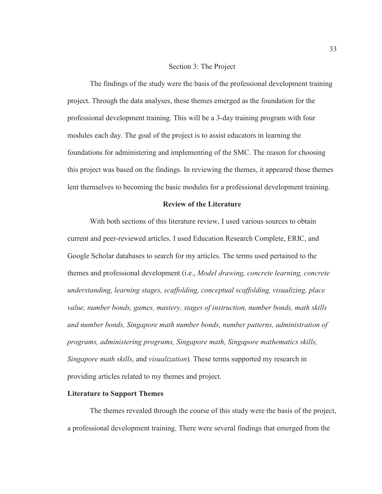## Section 3: The Project

The findings of the study were the basis of the professional development training project. Through the data analyses, these themes emerged as the foundation for the professional development training. This will be a 3-day training program with four modules each day. The goal of the project is to assist educators in learning the foundations for administering and implementing of the SMC. The reason for choosing this project was based on the findings. In reviewing the themes, it appeared those themes lent themselves to becoming the basic modules for a professional development training.

### **Review of the Literature**

With both sections of this literature review, I used various sources to obtain current and peer-reviewed articles. I used Education Research Complete, ERIC, and Google Scholar databases to search for my articles. The terms used pertained to the themes and professional development (i.e., *Model drawing, concrete learning, concrete understanding, learning stages, scaffolding, conceptual scaffolding, visualizing, place value, number bonds, games, mastery, stages of instruction, number bonds, math skills and number bonds, Singapore math number bonds, number patterns, administration of programs, administering programs, Singapore math, Singapore mathematics skills, Singapore math skills*, and *visualization*)*.* These terms supported my research in providing articles related to my themes and project.

#### **Literature to Support Themes**

The themes revealed through the course of this study were the basis of the project, a professional development training. There were several findings that emerged from the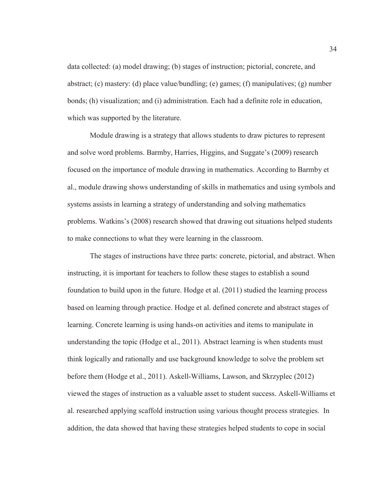data collected: (a) model drawing; (b) stages of instruction; pictorial, concrete, and abstract; (c) mastery: (d) place value/bundling; (e) games; (f) manipulatives; (g) number bonds; (h) visualization; and (i) administration. Each had a definite role in education, which was supported by the literature.

 Module drawing is a strategy that allows students to draw pictures to represent and solve word problems. Barmby, Harries, Higgins, and Suggate's (2009) research focused on the importance of module drawing in mathematics. According to Barmby et al., module drawing shows understanding of skills in mathematics and using symbols and systems assists in learning a strategy of understanding and solving mathematics problems. Watkins's (2008) research showed that drawing out situations helped students to make connections to what they were learning in the classroom.

 The stages of instructions have three parts: concrete, pictorial, and abstract. When instructing, it is important for teachers to follow these stages to establish a sound foundation to build upon in the future. Hodge et al. (2011) studied the learning process based on learning through practice. Hodge et al. defined concrete and abstract stages of learning. Concrete learning is using hands-on activities and items to manipulate in understanding the topic (Hodge et al., 2011). Abstract learning is when students must think logically and rationally and use background knowledge to solve the problem set before them (Hodge et al., 2011). Askell-Williams, Lawson, and Skrzyplec (2012) viewed the stages of instruction as a valuable asset to student success. Askell-Williams et al. researched applying scaffold instruction using various thought process strategies. In addition, the data showed that having these strategies helped students to cope in social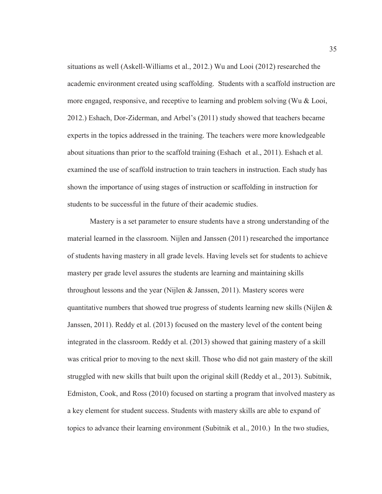situations as well (Askell-Williams et al., 2012.) Wu and Looi (2012) researched the academic environment created using scaffolding. Students with a scaffold instruction are more engaged, responsive, and receptive to learning and problem solving (Wu  $&$  Looi, 2012.) Eshach, Dor-Ziderman, and Arbel's (2011) study showed that teachers became experts in the topics addressed in the training. The teachers were more knowledgeable about situations than prior to the scaffold training (Eshach et al., 2011). Eshach et al. examined the use of scaffold instruction to train teachers in instruction. Each study has shown the importance of using stages of instruction or scaffolding in instruction for students to be successful in the future of their academic studies.

 Mastery is a set parameter to ensure students have a strong understanding of the material learned in the classroom. Nijlen and Janssen (2011) researched the importance of students having mastery in all grade levels. Having levels set for students to achieve mastery per grade level assures the students are learning and maintaining skills throughout lessons and the year (Nijlen & Janssen, 2011). Mastery scores were quantitative numbers that showed true progress of students learning new skills (Nijlen & Janssen, 2011). Reddy et al. (2013) focused on the mastery level of the content being integrated in the classroom. Reddy et al. (2013) showed that gaining mastery of a skill was critical prior to moving to the next skill. Those who did not gain mastery of the skill struggled with new skills that built upon the original skill (Reddy et al., 2013). Subitnik, Edmiston, Cook, and Ross (2010) focused on starting a program that involved mastery as a key element for student success. Students with mastery skills are able to expand of topics to advance their learning environment (Subitnik et al., 2010.) In the two studies,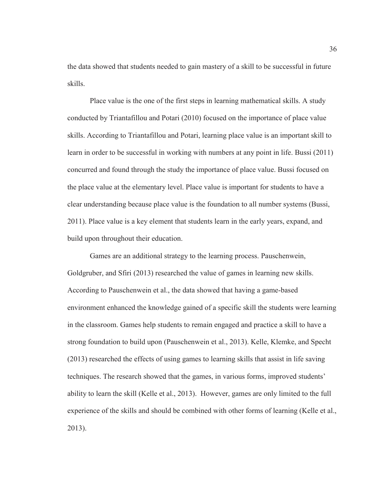the data showed that students needed to gain mastery of a skill to be successful in future skills.

 Place value is the one of the first steps in learning mathematical skills. A study conducted by Triantafillou and Potari (2010) focused on the importance of place value skills. According to Triantafillou and Potari, learning place value is an important skill to learn in order to be successful in working with numbers at any point in life. Bussi (2011) concurred and found through the study the importance of place value. Bussi focused on the place value at the elementary level. Place value is important for students to have a clear understanding because place value is the foundation to all number systems (Bussi, 2011). Place value is a key element that students learn in the early years, expand, and build upon throughout their education.

 Games are an additional strategy to the learning process. Pauschenwein, Goldgruber, and Sfiri (2013) researched the value of games in learning new skills. According to Pauschenwein et al., the data showed that having a game-based environment enhanced the knowledge gained of a specific skill the students were learning in the classroom. Games help students to remain engaged and practice a skill to have a strong foundation to build upon (Pauschenwein et al., 2013). Kelle, Klemke, and Specht (2013) researched the effects of using games to learning skills that assist in life saving techniques. The research showed that the games, in various forms, improved students' ability to learn the skill (Kelle et al., 2013). However, games are only limited to the full experience of the skills and should be combined with other forms of learning (Kelle et al., 2013).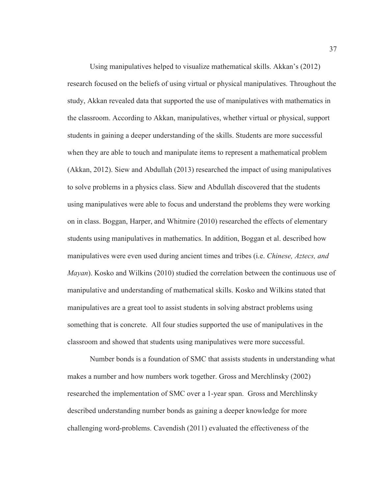Using manipulatives helped to visualize mathematical skills. Akkan's (2012) research focused on the beliefs of using virtual or physical manipulatives. Throughout the study, Akkan revealed data that supported the use of manipulatives with mathematics in the classroom. According to Akkan, manipulatives, whether virtual or physical, support students in gaining a deeper understanding of the skills. Students are more successful when they are able to touch and manipulate items to represent a mathematical problem (Akkan, 2012). Siew and Abdullah (2013) researched the impact of using manipulatives to solve problems in a physics class. Siew and Abdullah discovered that the students using manipulatives were able to focus and understand the problems they were working on in class. Boggan, Harper, and Whitmire (2010) researched the effects of elementary students using manipulatives in mathematics. In addition, Boggan et al. described how manipulatives were even used during ancient times and tribes (i.e. *Chinese, Aztecs, and Mayan*). Kosko and Wilkins (2010) studied the correlation between the continuous use of manipulative and understanding of mathematical skills. Kosko and Wilkins stated that manipulatives are a great tool to assist students in solving abstract problems using something that is concrete. All four studies supported the use of manipulatives in the classroom and showed that students using manipulatives were more successful.

 Number bonds is a foundation of SMC that assists students in understanding what makes a number and how numbers work together. Gross and Merchlinsky (2002) researched the implementation of SMC over a 1-year span. Gross and Merchlinsky described understanding number bonds as gaining a deeper knowledge for more challenging word-problems. Cavendish (2011) evaluated the effectiveness of the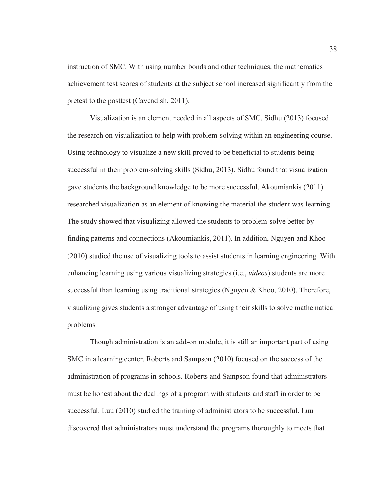instruction of SMC. With using number bonds and other techniques, the mathematics achievement test scores of students at the subject school increased significantly from the pretest to the posttest (Cavendish, 2011).

 Visualization is an element needed in all aspects of SMC. Sidhu (2013) focused the research on visualization to help with problem-solving within an engineering course. Using technology to visualize a new skill proved to be beneficial to students being successful in their problem-solving skills (Sidhu, 2013). Sidhu found that visualization gave students the background knowledge to be more successful. Akoumiankis (2011) researched visualization as an element of knowing the material the student was learning. The study showed that visualizing allowed the students to problem-solve better by finding patterns and connections (Akoumiankis, 2011). In addition, Nguyen and Khoo (2010) studied the use of visualizing tools to assist students in learning engineering. With enhancing learning using various visualizing strategies (i.e., *videos*) students are more successful than learning using traditional strategies (Nguyen  $\&$  Khoo, 2010). Therefore, visualizing gives students a stronger advantage of using their skills to solve mathematical problems.

 Though administration is an add-on module, it is still an important part of using SMC in a learning center. Roberts and Sampson (2010) focused on the success of the administration of programs in schools. Roberts and Sampson found that administrators must be honest about the dealings of a program with students and staff in order to be successful. Luu (2010) studied the training of administrators to be successful. Luu discovered that administrators must understand the programs thoroughly to meets that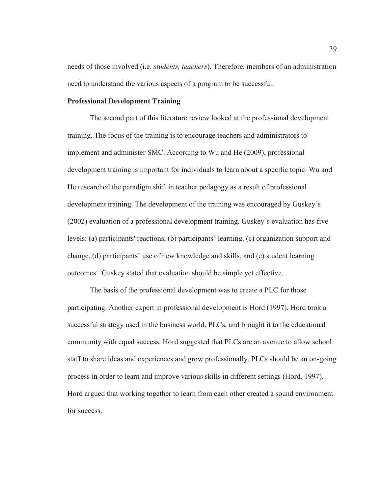needs of those involved (i.e. *students, teachers*). Therefore, members of an administration need to understand the various aspects of a program to be successful.

# **Professional Development Training**

The second part of this literature review looked at the professional development training. The focus of the training is to encourage teachers and administrators to implement and administer SMC. According to Wu and He (2009), professional development training is important for individuals to learn about a specific topic. Wu and He researched the paradigm shift in teacher pedagogy as a result of professional development training. The development of the training was encouraged by Guskey's (2002) evaluation of a professional development training. Guskey's evaluation has five levels: (a) participants' reactions, (b) participants' learning, (c) organization support and change, (d) participants' use of new knowledge and skills, and (e) student learning outcomes. Guskey stated that evaluation should be simple yet effective. .

The basis of the professional development was to create a PLC for those participating. Another expert in professional development is Hord (1997). Hord took a successful strategy used in the business world, PLCs, and brought it to the educational community with equal success. Hord suggested that PLCs are an avenue to allow school staff to share ideas and experiences and grow professionally. PLCs should be an on-going process in order to learn and improve various skills in different settings (Hord, 1997). Hord argued that working together to learn from each other created a sound environment for success.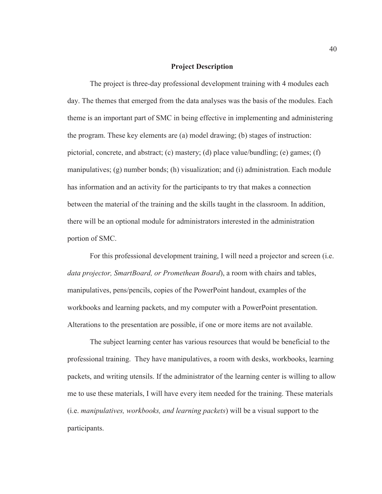## **Project Description**

The project is three-day professional development training with 4 modules each day. The themes that emerged from the data analyses was the basis of the modules. Each theme is an important part of SMC in being effective in implementing and administering the program. These key elements are (a) model drawing; (b) stages of instruction: pictorial, concrete, and abstract; (c) mastery; (d) place value/bundling; (e) games; (f) manipulatives; (g) number bonds; (h) visualization; and (i) administration. Each module has information and an activity for the participants to try that makes a connection between the material of the training and the skills taught in the classroom. In addition, there will be an optional module for administrators interested in the administration portion of SMC.

 For this professional development training, I will need a projector and screen (i.e. *data projector, SmartBoard, or Promethean Board*), a room with chairs and tables, manipulatives, pens/pencils, copies of the PowerPoint handout, examples of the workbooks and learning packets, and my computer with a PowerPoint presentation. Alterations to the presentation are possible, if one or more items are not available.

The subject learning center has various resources that would be beneficial to the professional training. They have manipulatives, a room with desks, workbooks, learning packets, and writing utensils. If the administrator of the learning center is willing to allow me to use these materials, I will have every item needed for the training. These materials (i.e. *manipulatives, workbooks, and learning packets*) will be a visual support to the participants.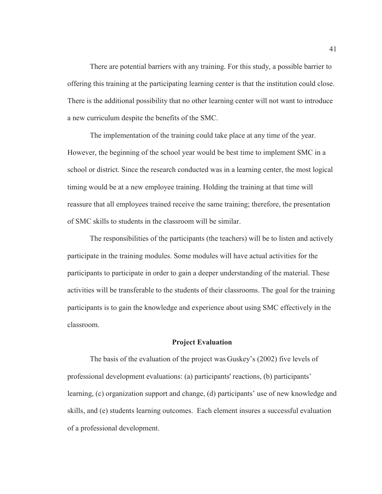There are potential barriers with any training. For this study, a possible barrier to offering this training at the participating learning center is that the institution could close. There is the additional possibility that no other learning center will not want to introduce a new curriculum despite the benefits of the SMC.

 The implementation of the training could take place at any time of the year. However, the beginning of the school year would be best time to implement SMC in a school or district. Since the research conducted was in a learning center, the most logical timing would be at a new employee training. Holding the training at that time will reassure that all employees trained receive the same training; therefore, the presentation of SMC skills to students in the classroom will be similar.

The responsibilities of the participants (the teachers) will be to listen and actively participate in the training modules. Some modules will have actual activities for the participants to participate in order to gain a deeper understanding of the material. These activities will be transferable to the students of their classrooms. The goal for the training participants is to gain the knowledge and experience about using SMC effectively in the classroom.

#### **Project Evaluation**

The basis of the evaluation of the project was Guskey's (2002) five levels of professional development evaluations: (a) participants' reactions, (b) participants' learning, (c) organization support and change, (d) participants' use of new knowledge and skills, and (e) students learning outcomes. Each element insures a successful evaluation of a professional development.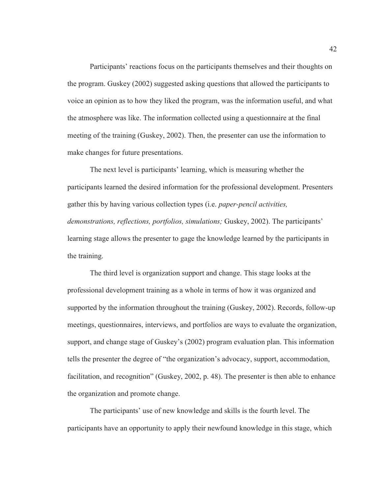Participants' reactions focus on the participants themselves and their thoughts on the program. Guskey (2002) suggested asking questions that allowed the participants to voice an opinion as to how they liked the program, was the information useful, and what the atmosphere was like. The information collected using a questionnaire at the final meeting of the training (Guskey, 2002). Then, the presenter can use the information to make changes for future presentations.

The next level is participants' learning, which is measuring whether the participants learned the desired information for the professional development. Presenters gather this by having various collection types (i.e. *paper-pencil activities, demonstrations, reflections, portfolios, simulations;* Guskey, 2002). The participants' learning stage allows the presenter to gage the knowledge learned by the participants in the training.

The third level is organization support and change. This stage looks at the professional development training as a whole in terms of how it was organized and supported by the information throughout the training (Guskey, 2002). Records, follow-up meetings, questionnaires, interviews, and portfolios are ways to evaluate the organization, support, and change stage of Guskey's (2002) program evaluation plan. This information tells the presenter the degree of "the organization's advocacy, support, accommodation, facilitation, and recognition" (Guskey, 2002, p. 48). The presenter is then able to enhance the organization and promote change.

The participants' use of new knowledge and skills is the fourth level. The participants have an opportunity to apply their newfound knowledge in this stage, which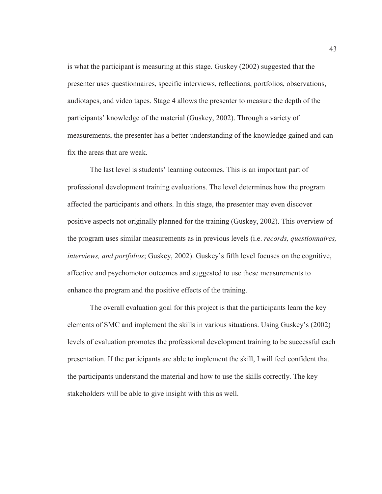is what the participant is measuring at this stage. Guskey (2002) suggested that the presenter uses questionnaires, specific interviews, reflections, portfolios, observations, audiotapes, and video tapes. Stage 4 allows the presenter to measure the depth of the participants' knowledge of the material (Guskey, 2002). Through a variety of measurements, the presenter has a better understanding of the knowledge gained and can fix the areas that are weak.

The last level is students' learning outcomes. This is an important part of professional development training evaluations. The level determines how the program affected the participants and others. In this stage, the presenter may even discover positive aspects not originally planned for the training (Guskey, 2002). This overview of the program uses similar measurements as in previous levels (i.e. *records, questionnaires, interviews, and portfolios*; Guskey, 2002). Guskey's fifth level focuses on the cognitive, affective and psychomotor outcomes and suggested to use these measurements to enhance the program and the positive effects of the training.

The overall evaluation goal for this project is that the participants learn the key elements of SMC and implement the skills in various situations. Using Guskey's (2002) levels of evaluation promotes the professional development training to be successful each presentation. If the participants are able to implement the skill, I will feel confident that the participants understand the material and how to use the skills correctly. The key stakeholders will be able to give insight with this as well.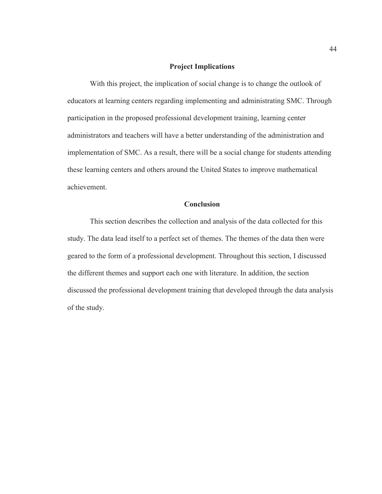# **Project Implications**

With this project, the implication of social change is to change the outlook of educators at learning centers regarding implementing and administrating SMC. Through participation in the proposed professional development training, learning center administrators and teachers will have a better understanding of the administration and implementation of SMC. As a result, there will be a social change for students attending these learning centers and others around the United States to improve mathematical achievement.

# **Conclusion**

This section describes the collection and analysis of the data collected for this study. The data lead itself to a perfect set of themes. The themes of the data then were geared to the form of a professional development. Throughout this section, I discussed the different themes and support each one with literature. In addition, the section discussed the professional development training that developed through the data analysis of the study.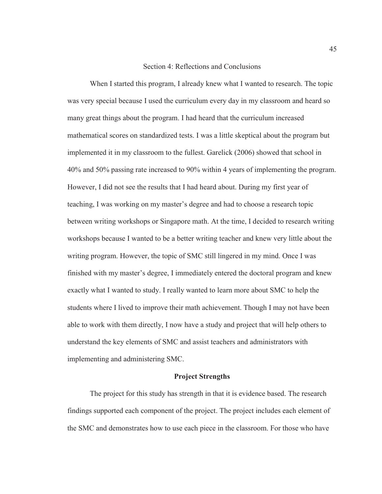## Section 4: Reflections and Conclusions

 When I started this program, I already knew what I wanted to research. The topic was very special because I used the curriculum every day in my classroom and heard so many great things about the program. I had heard that the curriculum increased mathematical scores on standardized tests. I was a little skeptical about the program but implemented it in my classroom to the fullest. Garelick (2006) showed that school in 40% and 50% passing rate increased to 90% within 4 years of implementing the program. However, I did not see the results that I had heard about. During my first year of teaching, I was working on my master's degree and had to choose a research topic between writing workshops or Singapore math. At the time, I decided to research writing workshops because I wanted to be a better writing teacher and knew very little about the writing program. However, the topic of SMC still lingered in my mind. Once I was finished with my master's degree, I immediately entered the doctoral program and knew exactly what I wanted to study. I really wanted to learn more about SMC to help the students where I lived to improve their math achievement. Though I may not have been able to work with them directly, I now have a study and project that will help others to understand the key elements of SMC and assist teachers and administrators with implementing and administering SMC.

### **Project Strengths**

The project for this study has strength in that it is evidence based. The research findings supported each component of the project. The project includes each element of the SMC and demonstrates how to use each piece in the classroom. For those who have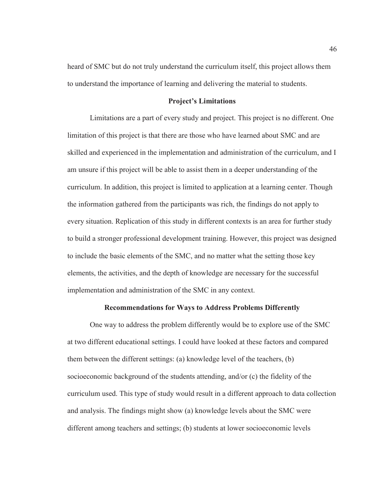heard of SMC but do not truly understand the curriculum itself, this project allows them to understand the importance of learning and delivering the material to students.

## **Project's Limitations**

Limitations are a part of every study and project. This project is no different. One limitation of this project is that there are those who have learned about SMC and are skilled and experienced in the implementation and administration of the curriculum, and I am unsure if this project will be able to assist them in a deeper understanding of the curriculum. In addition, this project is limited to application at a learning center. Though the information gathered from the participants was rich, the findings do not apply to every situation. Replication of this study in different contexts is an area for further study to build a stronger professional development training. However, this project was designed to include the basic elements of the SMC, and no matter what the setting those key elements, the activities, and the depth of knowledge are necessary for the successful implementation and administration of the SMC in any context.

### **Recommendations for Ways to Address Problems Differently**

One way to address the problem differently would be to explore use of the SMC at two different educational settings. I could have looked at these factors and compared them between the different settings: (a) knowledge level of the teachers, (b) socioeconomic background of the students attending, and/or (c) the fidelity of the curriculum used. This type of study would result in a different approach to data collection and analysis. The findings might show (a) knowledge levels about the SMC were different among teachers and settings; (b) students at lower socioeconomic levels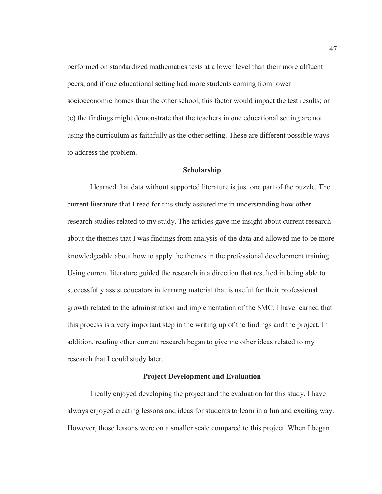performed on standardized mathematics tests at a lower level than their more affluent peers, and if one educational setting had more students coming from lower socioeconomic homes than the other school, this factor would impact the test results; or (c) the findings might demonstrate that the teachers in one educational setting are not using the curriculum as faithfully as the other setting. These are different possible ways to address the problem.

## **Scholarship**

I learned that data without supported literature is just one part of the puzzle. The current literature that I read for this study assisted me in understanding how other research studies related to my study. The articles gave me insight about current research about the themes that I was findings from analysis of the data and allowed me to be more knowledgeable about how to apply the themes in the professional development training. Using current literature guided the research in a direction that resulted in being able to successfully assist educators in learning material that is useful for their professional growth related to the administration and implementation of the SMC. I have learned that this process is a very important step in the writing up of the findings and the project. In addition, reading other current research began to give me other ideas related to my research that I could study later.

## **Project Development and Evaluation**

I really enjoyed developing the project and the evaluation for this study. I have always enjoyed creating lessons and ideas for students to learn in a fun and exciting way. However, those lessons were on a smaller scale compared to this project. When I began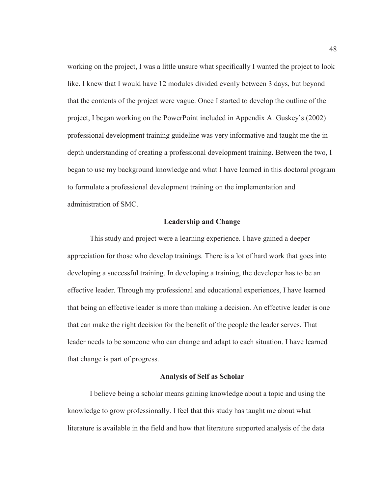working on the project, I was a little unsure what specifically I wanted the project to look like. I knew that I would have 12 modules divided evenly between 3 days, but beyond that the contents of the project were vague. Once I started to develop the outline of the project, I began working on the PowerPoint included in Appendix A. Guskey's (2002) professional development training guideline was very informative and taught me the indepth understanding of creating a professional development training. Between the two, I began to use my background knowledge and what I have learned in this doctoral program to formulate a professional development training on the implementation and administration of SMC.

## **Leadership and Change**

This study and project were a learning experience. I have gained a deeper appreciation for those who develop trainings. There is a lot of hard work that goes into developing a successful training. In developing a training, the developer has to be an effective leader. Through my professional and educational experiences, I have learned that being an effective leader is more than making a decision. An effective leader is one that can make the right decision for the benefit of the people the leader serves. That leader needs to be someone who can change and adapt to each situation. I have learned that change is part of progress.

#### **Analysis of Self as Scholar**

I believe being a scholar means gaining knowledge about a topic and using the knowledge to grow professionally. I feel that this study has taught me about what literature is available in the field and how that literature supported analysis of the data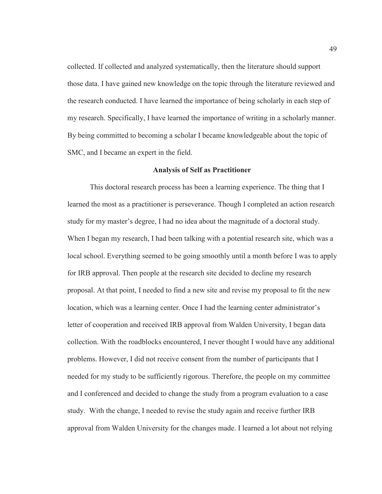collected. If collected and analyzed systematically, then the literature should support those data. I have gained new knowledge on the topic through the literature reviewed and the research conducted. I have learned the importance of being scholarly in each step of my research. Specifically, I have learned the importance of writing in a scholarly manner. By being committed to becoming a scholar I became knowledgeable about the topic of SMC, and I became an expert in the field.

## **Analysis of Self as Practitioner**

This doctoral research process has been a learning experience. The thing that I learned the most as a practitioner is perseverance. Though I completed an action research study for my master's degree, I had no idea about the magnitude of a doctoral study. When I began my research, I had been talking with a potential research site, which was a local school. Everything seemed to be going smoothly until a month before I was to apply for IRB approval. Then people at the research site decided to decline my research proposal. At that point, I needed to find a new site and revise my proposal to fit the new location, which was a learning center. Once I had the learning center administrator's letter of cooperation and received IRB approval from Walden University, I began data collection. With the roadblocks encountered, I never thought I would have any additional problems. However, I did not receive consent from the number of participants that I needed for my study to be sufficiently rigorous. Therefore, the people on my committee and I conferenced and decided to change the study from a program evaluation to a case study. With the change, I needed to revise the study again and receive further IRB approval from Walden University for the changes made. I learned a lot about not relying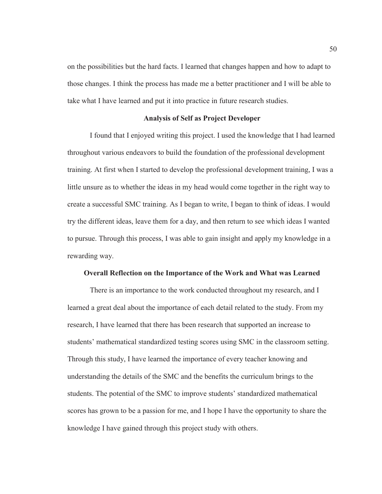on the possibilities but the hard facts. I learned that changes happen and how to adapt to those changes. I think the process has made me a better practitioner and I will be able to take what I have learned and put it into practice in future research studies.

## **Analysis of Self as Project Developer**

I found that I enjoyed writing this project. I used the knowledge that I had learned throughout various endeavors to build the foundation of the professional development training. At first when I started to develop the professional development training, I was a little unsure as to whether the ideas in my head would come together in the right way to create a successful SMC training. As I began to write, I began to think of ideas. I would try the different ideas, leave them for a day, and then return to see which ideas I wanted to pursue. Through this process, I was able to gain insight and apply my knowledge in a rewarding way.

#### **Overall Reflection on the Importance of the Work and What was Learned**

There is an importance to the work conducted throughout my research, and I learned a great deal about the importance of each detail related to the study. From my research, I have learned that there has been research that supported an increase to students' mathematical standardized testing scores using SMC in the classroom setting. Through this study, I have learned the importance of every teacher knowing and understanding the details of the SMC and the benefits the curriculum brings to the students. The potential of the SMC to improve students' standardized mathematical scores has grown to be a passion for me, and I hope I have the opportunity to share the knowledge I have gained through this project study with others.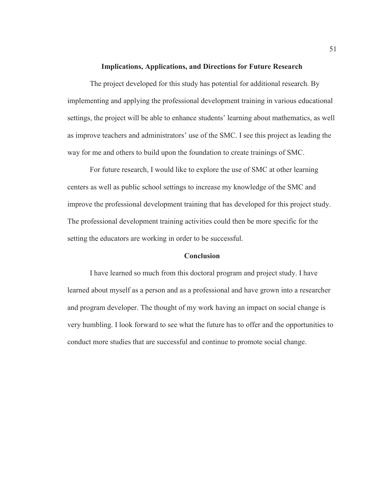#### **Implications, Applications, and Directions for Future Research**

The project developed for this study has potential for additional research. By implementing and applying the professional development training in various educational settings, the project will be able to enhance students' learning about mathematics, as well as improve teachers and administrators' use of the SMC. I see this project as leading the way for me and others to build upon the foundation to create trainings of SMC.

For future research, I would like to explore the use of SMC at other learning centers as well as public school settings to increase my knowledge of the SMC and improve the professional development training that has developed for this project study. The professional development training activities could then be more specific for the setting the educators are working in order to be successful.

## **Conclusion**

I have learned so much from this doctoral program and project study. I have learned about myself as a person and as a professional and have grown into a researcher and program developer. The thought of my work having an impact on social change is very humbling. I look forward to see what the future has to offer and the opportunities to conduct more studies that are successful and continue to promote social change.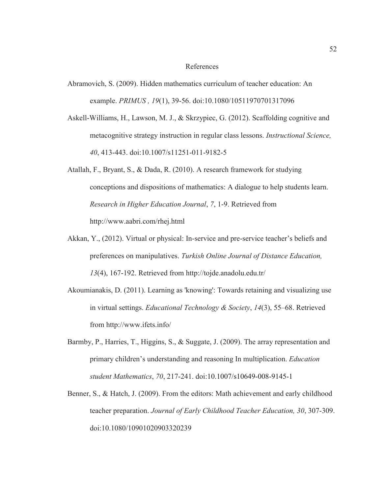### References

- Abramovich, S. (2009). Hidden mathematics curriculum of teacher education: An example. *PRIMUS , 19*(1), 39-56. doi:10.1080/10511970701317096
- Askell-Williams, H., Lawson, M. J., & Skrzypiec, G. (2012). Scaffolding cognitive and metacognitive strategy instruction in regular class lessons. *Instructional Science, 40*, 413-443. doi:10.1007/s11251-011-9182-5
- Atallah, F., Bryant, S., & Dada, R. (2010). A research framework for studying conceptions and dispositions of mathematics: A dialogue to help students learn. *Research in Higher Education Journal*, *7*, 1-9. Retrieved from http://www.aabri.com/rhej.html
- Akkan, Y., (2012). Virtual or physical: In-service and pre-service teacher's beliefs and preferences on manipulatives. *Turkish Online Journal of Distance Education, 13*(4), 167-192. Retrieved from http://tojde.anadolu.edu.tr/
- Akoumianakis, D. (2011). Learning as 'knowing': Towards retaining and visualizing use in virtual settings. *Educational Technology & Society*, *14*(3), 55–68. Retrieved from http://www.ifets.info/
- Barmby, P., Harries, T., Higgins, S., & Suggate, J. (2009). The array representation and primary children's understanding and reasoning In multiplication. *Education student Mathematics*, *70*, 217-241. doi:10.1007/s10649-008-9145-1
- Benner, S., & Hatch, J. (2009). From the editors: Math achievement and early childhood teacher preparation. *Journal of Early Childhood Teacher Education, 30*, 307-309. doi:10.1080/10901020903320239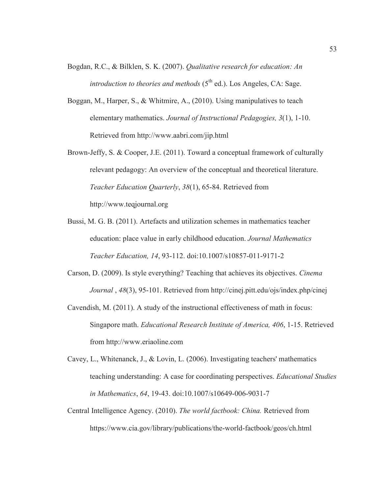- Bogdan, R.C., & Bilklen, S. K. (2007). *Qualitative research for education: An introduction to theories and methods*  $(5<sup>th</sup>$  ed.). Los Angeles, CA: Sage.
- Boggan, M., Harper, S., & Whitmire, A., (2010). Using manipulatives to teach elementary mathematics. *Journal of Instructional Pedagogies, 3*(1), 1-10. Retrieved from http://www.aabri.com/jip.html
- Brown-Jeffy, S. & Cooper, J.E. (2011). Toward a conceptual framework of culturally relevant pedagogy: An overview of the conceptual and theoretical literature. *Teacher Education Quarterly*, *38*(1), 65-84. Retrieved from http://www.teqjournal.org
- Bussi, M. G. B. (2011). Artefacts and utilization schemes in mathematics teacher education: place value in early childhood education. *Journal Mathematics Teacher Education, 14*, 93-112. doi:10.1007/s10857-011-9171-2
- Carson, D. (2009). Is style everything? Teaching that achieves its objectives. *Cinema Journal* , *48*(3), 95-101. Retrieved from http://cinej.pitt.edu/ojs/index.php/cinej
- Cavendish, M. (2011). A study of the instructional effectiveness of math in focus: Singapore math. *Educational Research Institute of America, 406*, 1-15. Retrieved from http://www.eriaoline.com
- Cavey, L., Whitenanck, J., & Lovin, L. (2006). Investigating teachers' mathematics teaching understanding: A case for coordinating perspectives. *Educational Studies in Mathematics*, *64*, 19-43. doi:10.1007/s10649-006-9031-7
- Central Intelligence Agency. (2010). *The world factbook: China.* Retrieved from https://www.cia.gov/library/publications/the-world-factbook/geos/ch.html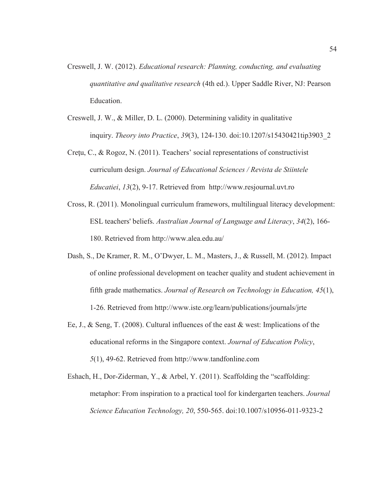- Creswell, J. W. (2012). *Educational research: Planning, conducting, and evaluating quantitative and qualitative research* (4th ed.). Upper Saddle River, NJ: Pearson Education.
- Creswell, J. W., & Miller, D. L. (2000). Determining validity in qualitative inquiry. *Theory into Practice*, *39*(3), 124-130. doi:10.1207/s15430421tip3903\_2
- Creţu, C., & Rogoz, N. (2011). Teachers' social representations of constructivist curriculum design. *Journal of Educational Sciences / Revista de Stiintele Educatiei*, *13*(2), 9-17. Retrieved from http://www.resjournal.uvt.ro
- Cross, R. (2011). Monolingual curriculum framewors, multilingual literacy development: ESL teachers' beliefs. *Australian Journal of Language and Literacy*, *34*(2), 166- 180. Retrieved from http://www.alea.edu.au/
- Dash, S., De Kramer, R. M., O'Dwyer, L. M., Masters, J., & Russell, M. (2012). Impact of online professional development on teacher quality and student achievement in fifth grade mathematics. *Journal of Research on Technology in Education, 45*(1), 1-26. Retrieved from http://www.iste.org/learn/publications/journals/jrte
- Ee, J., & Seng, T. (2008). Cultural influences of the east & west: Implications of the educational reforms in the Singapore context. *Journal of Education Policy*, *5*(1), 49-62. Retrieved from http://www.tandfonline.com
- Eshach, H., Dor-Ziderman, Y., & Arbel, Y. (2011). Scaffolding the "scaffolding: metaphor: From inspiration to a practical tool for kindergarten teachers. *Journal Science Education Technology, 20*, 550-565. doi:10.1007/s10956-011-9323-2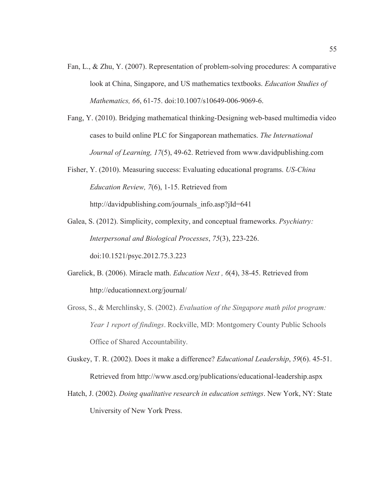- Fan, L., & Zhu, Y. (2007). Representation of problem-solving procedures: A comparative look at China, Singapore, and US mathematics textbooks. *Education Studies of Mathematics, 66*, 61-75. doi:10.1007/s10649-006-9069-6.
- Fang, Y. (2010). Bridging mathematical thinking-Designing web-based multimedia video cases to build online PLC for Singaporean mathematics. *The International Journal of Learning, 17*(5), 49-62. Retrieved from www.davidpublishing.com
- Fisher, Y. (2010). Measuring success: Evaluating educational programs. *US-China Education Review, 7*(6), 1-15. Retrieved from http://davidpublishing.com/journals\_info.asp?jId=641
- Galea, S. (2012). Simplicity, complexity, and conceptual frameworks. *Psychiatry: Interpersonal and Biological Processes*, *75*(3), 223-226. doi:10.1521/psyc.2012.75.3.223
- Garelick, B. (2006). Miracle math. *Education Next , 6*(4), 38-45. Retrieved from http://educationnext.org/journal/
- Gross, S., & Merchlinsky, S. (2002). *Evaluation of the Singapore math pilot program: Year 1 report of findings*. Rockville, MD: Montgomery County Public Schools Office of Shared Accountability.
- Guskey, T. R. (2002). Does it make a difference? *Educational Leadership*, *59*(6). 45-51. Retrieved from http://www.ascd.org/publications/educational-leadership.aspx
- Hatch, J. (2002). *Doing qualitative research in education settings*. New York, NY: State University of New York Press.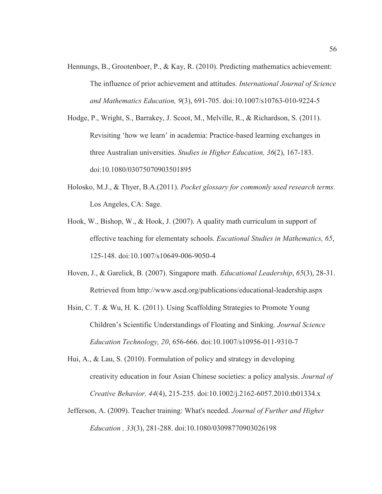- Hennungs, B., Grootenboer, P., & Kay, R. (2010). Predicting mathematics achievement: The influence of prior achievement and attitudes. *International Journal of Science and Mathematics Education, 9*(3), 691-705. doi:10.1007/s10763-010-9224-5
- Hodge, P., Wright, S., Barrakey, J. Scoot, M., Melville, R., & Richardson, S. (2011). Revisiting 'how we learn' in academia: Practice-based learning exchanges in three Australian universities. *Studies in Higher Education, 36*(2), 167-183. doi:10.1080/03075070903501895
- Holosko, M.J., & Thyer, B.A.(2011). *Pocket glossary for commonly used research terms.* Los Angeles, CA: Sage.
- Hook, W., Bishop, W., & Hook, J. (2007). A quality math curriculum in support of effective teaching for elementaty schools. *Eucational Studies in Mathematics, 65*, 125-148. doi:10.1007/s10649-006-9050-4
- Hoven, J., & Garelick, B. (2007). Singapore math. *Educational Leadership*, *65*(3), 28-31. Retrieved from http://www.ascd.org/publications/educational-leadership.aspx
- Hsin, C. T. & Wu, H. K. (2011). Using Scaffolding Strategies to Promote Young Children's Scientific Understandings of Floating and Sinking. *Journal Science Education Technology, 20*, 656-666. doi:10.1007/s10956-011-9310-7
- Hui, A., & Lau, S. (2010). Formulation of policy and strategy in developing creativity education in four Asian Chinese societies: a policy analysis. *Journal of Creative Behavior, 44*(4), 215-235. doi:10.1002/j.2162-6057.2010.tb01334.x
- Jefferson, A. (2009). Teacher training: What's needed. *Journal of Further and Higher Education , 33*(3), 281-288. doi:10.1080/03098770903026198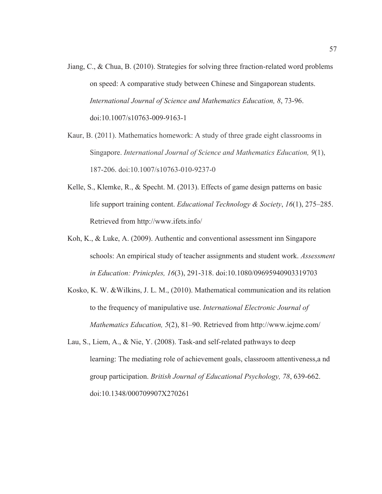Jiang, C., & Chua, B. (2010). Strategies for solving three fraction-related word problems on speed: A comparative study between Chinese and Singaporean students. *International Journal of Science and Mathematics Education, 8*, 73-96. doi:10.1007/s10763-009-9163-1

Kaur, B. (2011). Mathematics homework: A study of three grade eight classrooms in Singapore. *International Journal of Science and Mathematics Education, 9*(1), 187-206. doi:10.1007/s10763-010-9237-0

- Kelle, S., Klemke, R., & Specht. M. (2013). Effects of game design patterns on basic life support training content. *Educational Technology & Society*, *16*(1), 275–285. Retrieved from http://www.ifets.info/
- Koh, K., & Luke, A. (2009). Authentic and conventional assessment inn Singapore schools: An empirical study of teacher assignments and student work. *Assessment in Education: Prinicples, 16*(3), 291-318. doi:10.1080/09695940903319703
- Kosko, K. W. &Wilkins, J. L. M., (2010). Mathematical communication and its relation to the frequency of manipulative use. *International Electronic Journal of Mathematics Education, 5*(2), 81–90. Retrieved from http://www.iejme.com/
- Lau, S., Liem, A., & Nie, Y. (2008). Task-and self-related pathways to deep learning: The mediating role of achievement goals, classroom attentiveness,a nd group participation. *British Journal of Educational Psychology, 78*, 639-662. doi:10.1348/000709907X270261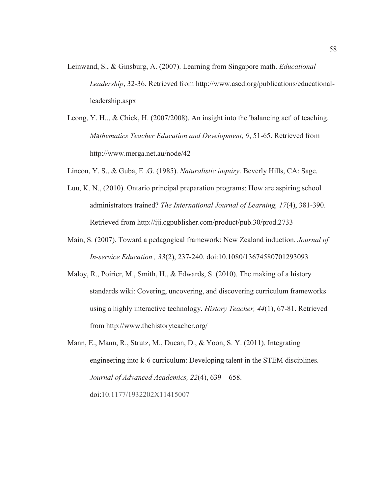- Leinwand, S., & Ginsburg, A. (2007). Learning from Singapore math. *Educational Leadership*, 32-36. Retrieved from http://www.ascd.org/publications/educational leadership.aspx
- Leong, Y. H.., & Chick, H. (2007/2008). An insight into the 'balancing act' of teaching. *M*a*thematics Teacher Education and Development, 9*, 51-65. Retrieved from http://www.merga.net.au/node/42
- Lincon, Y. S., & Guba, E .G. (1985). *Naturalistic inquiry*. Beverly Hills, CA: Sage.
- Luu, K. N., (2010). Ontario principal preparation programs: How are aspiring school administrators trained? *The International Journal of Learning, 17*(4), 381-390. Retrieved from http://iji.cgpublisher.com/product/pub.30/prod.2733
- Main, S. (2007). Toward a pedagogical framework: New Zealand induction. *Journal of In-service Education , 33*(2), 237-240. doi:10.1080/13674580701293093
- Maloy, R., Poirier, M., Smith, H., & Edwards, S. (2010). The making of a history standards wiki: Covering, uncovering, and discovering curriculum frameworks using a highly interactive technology. *History Teacher, 44*(1), 67-81. Retrieved from http://www.thehistoryteacher.org/
- Mann, E., Mann, R., Strutz, M., Ducan, D., & Yoon, S. Y. (2011). Integrating engineering into k-6 curriculum: Developing talent in the STEM disciplines. *Journal of Advanced Academics, 22*(4), 639 – 658. doi:10.1177/1932202X11415007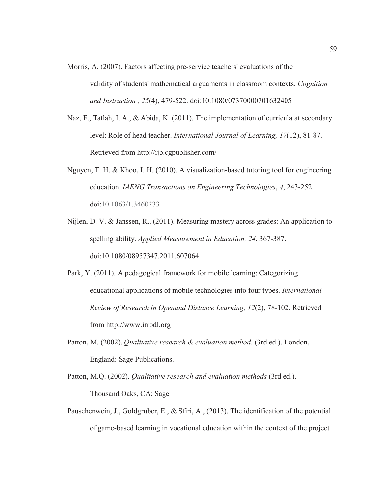- Morris, A. (2007). Factors affecting pre-service teachers' evaluations of the validity of students' mathematical arguaments in classroom contexts. *Cognition and Instruction , 25*(4), 479-522. doi:10.1080/07370000701632405
- Naz, F., Tatlah, I. A., & Abida, K. (2011). The implementation of curricula at secondary level: Role of head teacher. *International Journal of Learning, 17*(12), 81-87. Retrieved from http://ijb.cgpublisher.com/
- Nguyen, T. H. & Khoo, I. H. (2010). A visualization-based tutoring tool for engineering education. *IAENG Transactions on Engineering Technologies*, *4*, 243-252. doi:10.1063/1.3460233
- Nijlen, D. V. & Janssen, R., (2011). Measuring mastery across grades: An application to spelling ability. *Applied Measurement in Education, 24*, 367-387. doi:10.1080/08957347.2011.607064
- Park, Y. (2011). A pedagogical framework for mobile learning: Categorizing educational applications of mobile technologies into four types. *International Review of Research in Openand Distance Learning, 12*(2), 78-102. Retrieved from http://www.irrodl.org
- Patton, M. (2002). *Qualitative research & evaluation method*. (3rd ed.). London, England: Sage Publications.
- Patton, M.Q. (2002). *Qualitative research and evaluation methods* (3rd ed.). Thousand Oaks, CA: Sage
- Pauschenwein, J., Goldgruber, E., & Sfiri, A., (2013). The identification of the potential of game-based learning in vocational education within the context of the project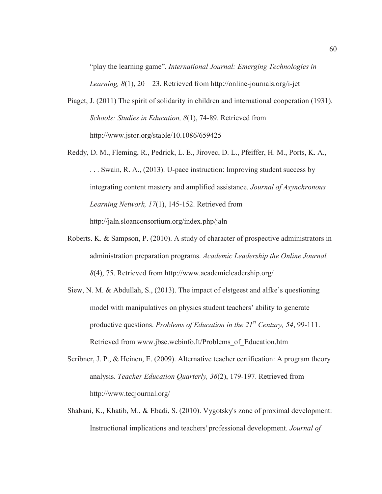"play the learning game". *International Journal: Emerging Technologies in Learning, 8*(1), 20 – 23. Retrieved from http://online-journals.org/i-jet

- Piaget, J. (2011) The spirit of solidarity in children and international cooperation (1931). *Schools: Studies in Education, 8*(1), 74-89. Retrieved from http://www.jstor.org/stable/10.1086/659425
- Reddy, D. M., Fleming, R., Pedrick, L. E., Jirovec, D. L., Pfeiffer, H. M., Ports, K. A., . . . Swain, R. A., (2013). U-pace instruction: Improving student success by integrating content mastery and amplified assistance. *Journal of Asynchronous Learning Network, 17*(1), 145-152. Retrieved from http://jaln.sloanconsortium.org/index.php/jaln
- Roberts. K. & Sampson, P. (2010). A study of character of prospective administrators in administration preparation programs. *Academic Leadership the Online Journal, 8*(4), 75. Retrieved from http://www.academicleadership.org/
- Siew, N. M. & Abdullah, S., (2013). The impact of elstgeest and alfke's questioning model with manipulatives on physics student teachers' ability to generate productive questions. *Problems of Education in the 21st Century, 54*, 99-111. Retrieved from www.jbse.webinfo.It/Problems\_of\_Education.htm
- Scribner, J. P., & Heinen, E. (2009). Alternative teacher certification: A program theory analysis. *Teacher Education Quarterly, 36*(2), 179-197. Retrieved from http://www.teqjournal.org/
- Shabani, K., Khatib, M., & Ebadi, S. (2010). Vygotsky's zone of proximal development: Instructional implications and teachers' professional development. *Journal of*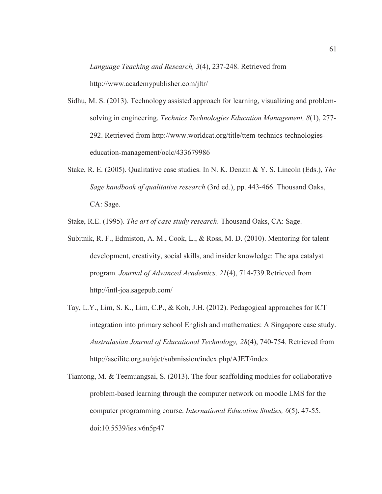*Language Teaching and Research, 3*(4), 237-248. Retrieved from

http://www.academypublisher.com/jltr/

- Sidhu, M. S. (2013). Technology assisted approach for learning, visualizing and problemsolving in engineering. *Technics Technologies Education Management, 8*(1), 277- 292. Retrieved from http://www.worldcat.org/title/ttem-technics-technologieseducation-management/oclc/433679986
- Stake, R. E. (2005). Qualitative case studies. In N. K. Denzin & Y. S. Lincoln (Eds.), *The Sage handbook of qualitative research* (3rd ed.), pp. 443-466. Thousand Oaks, CA: Sage.

Stake, R.E. (1995). *The art of case study research*. Thousand Oaks, CA: Sage.

- Subitnik, R. F., Edmiston, A. M., Cook, L., & Ross, M. D. (2010). Mentoring for talent development, creativity, social skills, and insider knowledge: The apa catalyst program. *Journal of Advanced Academics, 21*(4), 714-739.Retrieved from http://intl-joa.sagepub.com/
- Tay, L.Y., Lim, S. K., Lim, C.P., & Koh, J.H. (2012). Pedagogical approaches for ICT integration into primary school English and mathematics: A Singapore case study. *Australasian Journal of Educational Technology, 28*(4), 740-754. Retrieved from http://ascilite.org.au/ajet/submission/index.php/AJET/index

Tiantong, M. & Teemuangsai, S. (2013). The four scaffolding modules for collaborative problem-based learning through the computer network on moodle LMS for the computer programming course. *International Education Studies, 6*(5), 47-55. doi:10.5539/ies.v6n5p47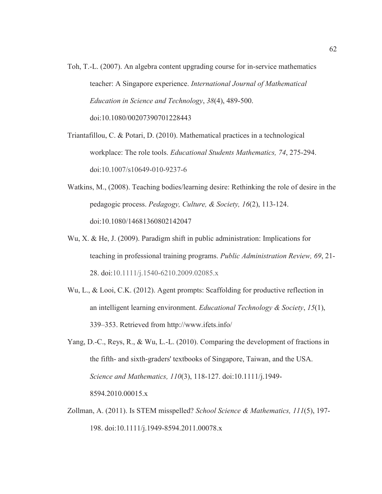- Toh, T.-L. (2007). An algebra content upgrading course for in-service mathematics teacher: A Singapore experience. *International Journal of Mathematical Education in Science and Technology*, *38*(4), 489-500. doi:10.1080/00207390701228443
- Triantafillou, C. & Potari, D. (2010). Mathematical practices in a technological workplace: The role tools. *Educational Students Mathematics, 74*, 275-294. doi:10.1007/s10649-010-9237-6
- Watkins, M., (2008). Teaching bodies/learning desire: Rethinking the role of desire in the pedagogic process. *Pedagogy, Culture, & Society, 16*(2), 113-124. doi:10.1080/14681360802142047
- Wu, X. & He, J. (2009). Paradigm shift in public administration: Implications for teaching in professional training programs. *Public Administration Review, 69*, 21- 28. doi:10.1111/j.1540-6210.2009.02085.x
- Wu, L., & Looi, C.K. (2012). Agent prompts: Scaffolding for productive reflection in an intelligent learning environment. *Educational Technology & Society*, *15*(1), 339–353. Retrieved from http://www.ifets.info/
- Yang, D.-C., Reys, R., & Wu, L.-L. (2010). Comparing the development of fractions in the fifth- and sixth-graders' textbooks of Singapore, Taiwan, and the USA. *Science and Mathematics, 110*(3), 118-127. doi:10.1111/j.1949- 8594.2010.00015.x
- Zollman, A. (2011). Is STEM misspelled? *School Science & Mathematics, 111*(5), 197- 198. doi:10.1111/j.1949-8594.2011.00078.x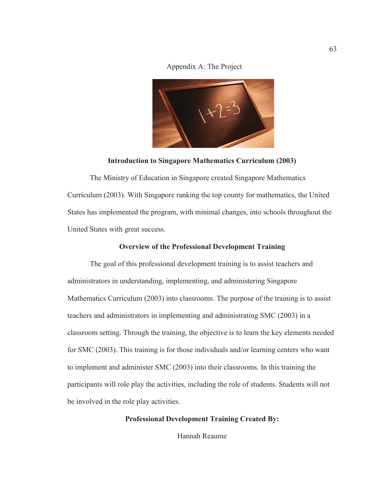# Appendix A: The Project



# **Introduction to Singapore Mathematics Curriculum (2003)**

The Ministry of Education in Singapore created Singapore Mathematics Curriculum (2003). With Singapore ranking the top county for mathematics, the United States has implemented the program, with minimal changes, into schools throughout the United States with great success.

# **Overview of the Professional Development Training**

The goal of this professional development training is to assist teachers and administrators in understanding, implementing, and administering Singapore Mathematics Curriculum (2003) into classrooms. The purpose of the training is to assist teachers and administrators in implementing and administrating SMC (2003) in a classroom setting. Through the training, the objective is to learn the key elements needed for SMC (2003). This training is for those individuals and/or learning centers who want to implement and administer SMC (2003) into their classrooms. In this training the participants will role play the activities, including the role of students. Students will not be involved in the role play activities.

# **Professional Development Training Created By:**

Hannah Reaume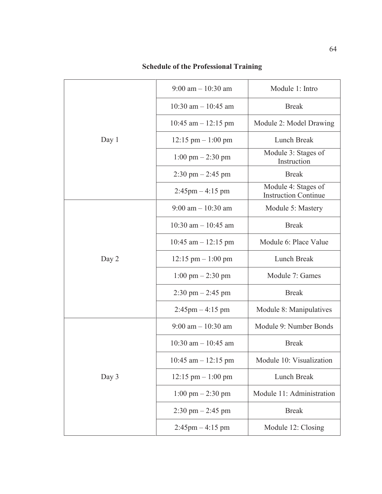| Day 1 | $9:00$ am $-10:30$ am                | Module 1: Intro                                    |
|-------|--------------------------------------|----------------------------------------------------|
|       | 10:30 am $-$ 10:45 am                | <b>Break</b>                                       |
|       | 10:45 $am - 12:15 pm$                | Module 2: Model Drawing                            |
|       | $12:15 \text{ pm} - 1:00 \text{ pm}$ | Lunch Break                                        |
|       | $1:00 \text{ pm} - 2:30 \text{ pm}$  | Module 3: Stages of<br>Instruction                 |
|       | $2:30 \text{ pm} - 2:45 \text{ pm}$  | <b>Break</b>                                       |
|       | $2:45 \text{pm} - 4:15 \text{pm}$    | Module 4: Stages of<br><b>Instruction Continue</b> |
| Day 2 | $9:00$ am $-10:30$ am                | Module 5: Mastery                                  |
|       | 10:30 am $-$ 10:45 am                | <b>Break</b>                                       |
|       | $10:45$ am $- 12:15$ pm              | Module 6: Place Value                              |
|       | $12:15 \text{ pm} - 1:00 \text{ pm}$ | Lunch Break                                        |
|       | $1:00 \text{ pm} - 2:30 \text{ pm}$  | Module 7: Games                                    |
|       | $2:30 \text{ pm} - 2:45 \text{ pm}$  | <b>Break</b>                                       |
|       | $2:45 \text{pm} - 4:15 \text{pm}$    | Module 8: Manipulatives                            |
| Day 3 | $9:00$ am $-10:30$ am                | Module 9: Number Bonds                             |
|       | 10:30 am $-$ 10:45 am                | <b>Break</b>                                       |
|       | 10:45 am $-$ 12:15 pm                | Module 10: Visualization                           |
|       | $12:15 \text{ pm} - 1:00 \text{ pm}$ | Lunch Break                                        |
|       | $1:00 \text{ pm} - 2:30 \text{ pm}$  | Module 11: Administration                          |
|       | $2:30$ pm $- 2:45$ pm                | <b>Break</b>                                       |
|       | $2:45 \text{pm} - 4:15 \text{pm}$    | Module 12: Closing                                 |

# **Schedule of the Professional Training**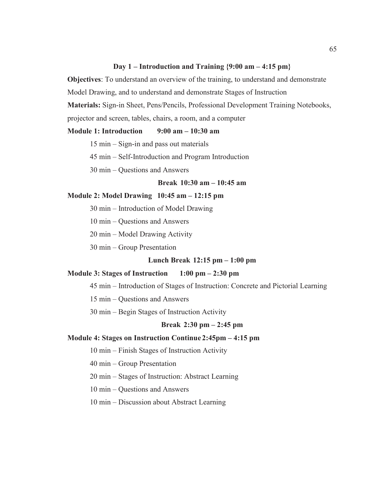# **Day 1 – Introduction and Training**  $\{9:00 \text{ am } -4:15 \text{ pm}\}\$

**Objectives**: To understand an overview of the training, to understand and demonstrate

Model Drawing, and to understand and demonstrate Stages of Instruction

**Materials:** Sign-in Sheet, Pens/Pencils, Professional Development Training Notebooks,

projector and screen, tables, chairs, a room, and a computer

# **Module 1: Introduction 9:00 am – 10:30 am**

15 min – Sign-in and pass out materials

45 min – Self-Introduction and Program Introduction

30 min – Questions and Answers

# **Break 10:30 am – 10:45 am**

# **Module 2: Model Drawing 10:45 am – 12:15 pm**

30 min – Introduction of Model Drawing

10 min – Questions and Answers

20 min – Model Drawing Activity

30 min – Group Presentation

# **Lunch Break 12:15 pm – 1:00 pm**

### **Module 3: Stages of Instruction 1:00 pm – 2:30 pm**

45 min – Introduction of Stages of Instruction: Concrete and Pictorial Learning

15 min – Questions and Answers

30 min – Begin Stages of Instruction Activity

# **Break 2:30 pm – 2:45 pm**

# **Module 4: Stages on Instruction Continue 2:45pm – 4:15 pm**

- 10 min Finish Stages of Instruction Activity
- 40 min Group Presentation
- 20 min Stages of Instruction: Abstract Learning
- 10 min Questions and Answers
- 10 min Discussion about Abstract Learning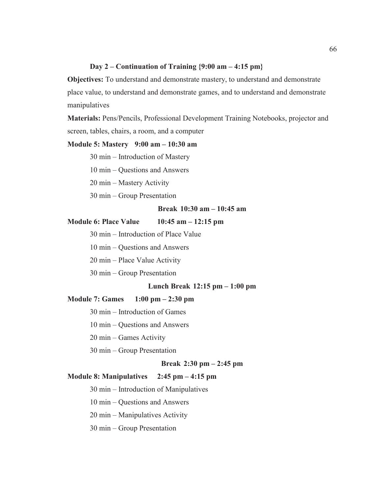# **Day 2 – Continuation of Training {9:00 am – 4:15 pm}**

**Objectives:** To understand and demonstrate mastery, to understand and demonstrate place value, to understand and demonstrate games, and to understand and demonstrate manipulatives

**Materials:** Pens/Pencils, Professional Development Training Notebooks, projector and screen, tables, chairs, a room, and a computer

# **Module 5: Mastery 9:00 am – 10:30 am**

30 min – Introduction of Mastery

10 min – Questions and Answers

20 min – Mastery Activity

30 min – Group Presentation

# **Break 10:30 am – 10:45 am**

# **Module 6: Place Value 10:45 am – 12:15 pm**

30 min – Introduction of Place Value

10 min – Questions and Answers

20 min – Place Value Activity

30 min – Group Presentation

# **Lunch Break 12:15 pm – 1:00 pm**

# **Module 7: Games 1:00 pm – 2:30 pm**

30 min – Introduction of Games

10 min – Questions and Answers

20 min – Games Activity

30 min – Group Presentation

# **Break 2:30 pm – 2:45 pm**

# **Module 8: Manipulatives 2:45 pm – 4:15 pm**

30 min – Introduction of Manipulatives

10 min – Questions and Answers

20 min – Manipulatives Activity

30 min – Group Presentation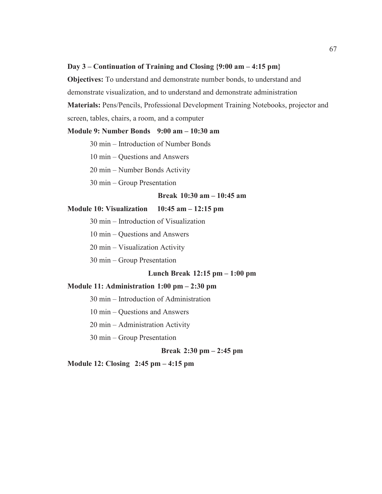# **Day 3 – Continuation of Training and Closing {9:00 am – 4:15 pm}**

**Objectives:** To understand and demonstrate number bonds, to understand and demonstrate visualization, and to understand and demonstrate administration **Materials:** Pens/Pencils, Professional Development Training Notebooks, projector and screen, tables, chairs, a room, and a computer

# **Module 9: Number Bonds 9:00 am – 10:30 am**

30 min – Introduction of Number Bonds

10 min – Questions and Answers

20 min – Number Bonds Activity

30 min – Group Presentation

# **Break 10:30 am – 10:45 am**

# **Module 10: Visualization 10:45 am – 12:15 pm**

30 min – Introduction of Visualization

10 min – Questions and Answers

20 min – Visualization Activity

30 min – Group Presentation

# **Lunch Break 12:15 pm – 1:00 pm**

# **Module 11: Administration 1:00 pm – 2:30 pm**

30 min – Introduction of Administration

10 min – Questions and Answers

20 min – Administration Activity

30 min – Group Presentation

# **Break 2:30 pm – 2:45 pm**

**Module 12: Closing 2:45 pm – 4:15 pm**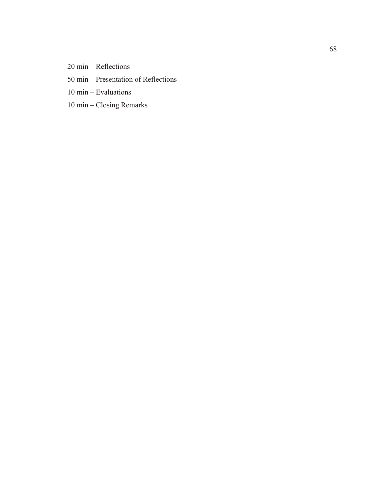20 min – Reflections

# 50 min – Presentation of Reflections

10 min – Evaluations

10 min – Closing Remarks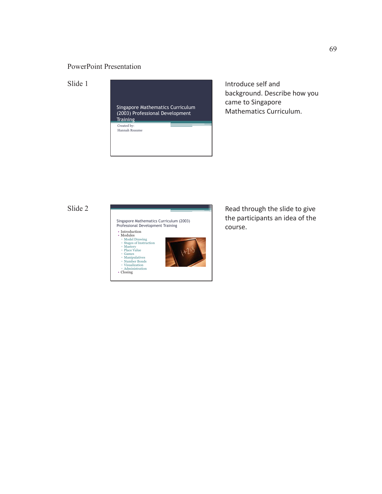# PowerPoint Presentation

Slide 1



Introduce self and background. Describe how you came to Singapore Mathematics Curriculum.

Slide 2



Read through the slide to give the participants an idea of the course.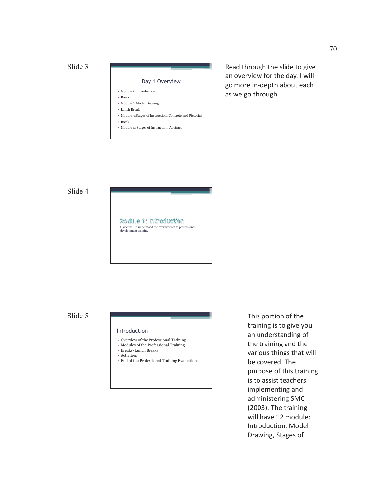### Day 1 Overview

- Module 1: Introduction
- Break
- Module 2:Model Drawing • Lunch Break
- Module 3:Stages of Instruction: Concrete and Pictorial
- Break
- Module 4: Stages of Instruction: Abstract

Read through the slide to give an overview for the day. I will go more in-depth about each as we go through.

# Slide 4



# Slide 5

### Introduction

- Overview of the Professional Training
- Modules of the Professional Training
- Breaks/Lunch Breaks • Activities
- End of the Professional Training Evaluation

This portion of the training is to give you an understanding of the training and the various things that will be covered. The purpose of this training is to assist teachers implementing and administering SMC (2003). The training will have 12 module: Introduction, Model Drawing, Stages of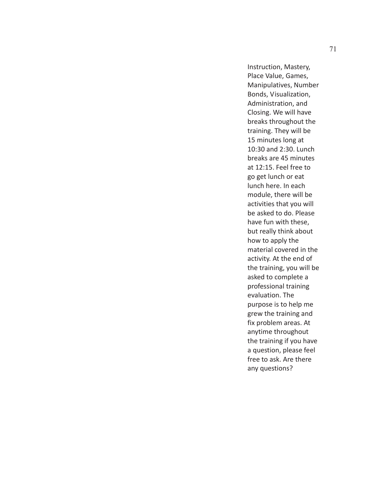Instruction, Mastery, Place Value, Games, Manipulatives, Number Bonds, Visualization, Administration, and Closing. We will have breaks throughout the training. They will be 15 minutes long at 10:30 and 2:30. Lunch breaks are 45 minutes at 12:15. Feel free to go get lunch or eat lunch here. In each module, there will be activities that you will be asked to do. Please have fun with these, but really think about how to apply the material covered in the activity. At the end of the training, you will be asked to complete a professional training evaluation. The purpose is to help me grew the training and fix problem areas. At anytime throughout the training if you have a question, please feel free to ask. Are there any questions?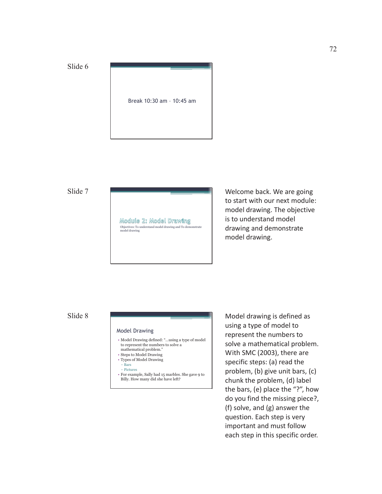

Slide 7



Welcome back. We are going to start with our next module: model drawing. The objective is to understand model drawing and demonstrate model drawing.

Slide 8

### Model Drawing

- Model Drawing defined: "…using a type of model to represent the numbers to solve a mathematical problem."
- Steps to Model Drawing
- Types of Model Drawing
- Bars
- Pictures
- For example, Sally had 15 marbles. She gave 9 to Billy. How many did she have left?

Model drawing is defined as using a type of model to represent the numbers to solve a mathematical problem. With SMC (2003), there are specific steps: (a) read the problem, (b) give unit bars, (c) chunk the problem, (d) label the bars, (e) place the "?", how do you find the missing piece?, (f) solve, and (g) answer the question. Each step is very important and must follow each step in this specific order.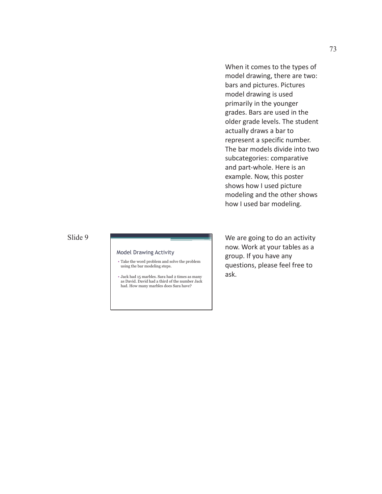### Model Drawing Activity

- Take the word problem and solve the problem using the bar modeling steps.
- Jack had 15 marbles. Sara had 2 times as many as David. David had a third of the number Jack had. How many marbles does Sara have?

When it comes to the types of model drawing, there are two: bars and pictures. Pictures model drawing is used primarily in the younger grades. Bars are used in the older grade levels. The student actually draws a bar to represent a specific number. The bar models divide into two subcategories: comparative and part-whole. Here is an example. Now, this poster shows how I used picture modeling and the other shows how I used bar modeling.

We are going to do an activity now. Work at your tables as a group. If you have any questions, please feel free to ask.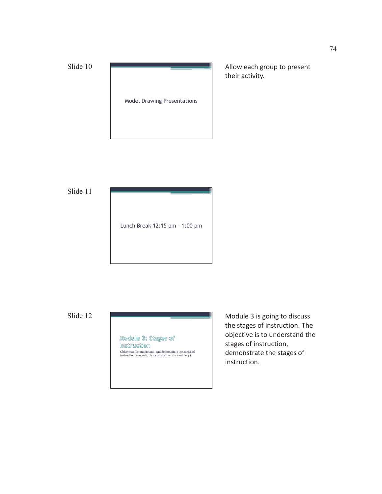

Allow each group to present their activity.

Slide 11



Slide 12

Module 3: Stages of Instruction Objectives: To understand and demonstrate the stages of instruction: concrete, pictorial, abstract (in module 4.)

Module 3 is going to discuss the stages of instruction. The objective is to understand the stages of instruction, demonstrate the stages of instruction.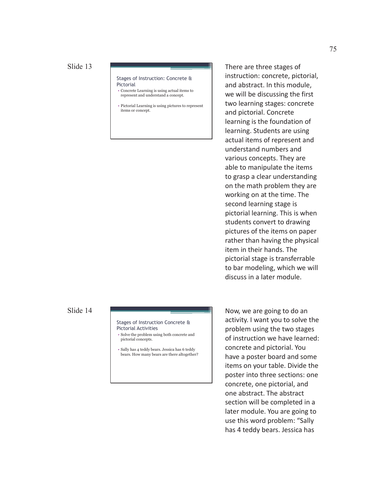### Stages of Instruction: Concrete & Pictorial

- Concrete Learning is using actual items to represent and understand a concept.
- Pictorial Learning is using pictures to represent items or concept.

Slide 14

Stages of Instruction Concrete & Pictorial Activities

- Solve the problem using both concrete and pictorial concepts.
- Sally has 4 teddy bears. Jessica has 6 teddy bears. How many bears are there altogether?

There are three stages of instruction: concrete, pictorial, and abstract. In this module, we will be discussing the first two learning stages: concrete and pictorial. Concrete learning is the foundation of learning. Students are using actual items of represent and understand numbers and various concepts. They are able to manipulate the items to grasp a clear understanding on the math problem they are working on at the time. The second learning stage is pictorial learning. This is when students convert to drawing pictures of the items on paper rather than having the physical item in their hands. The pictorial stage is transferrable to bar modeling, which we will discuss in a later module.

Now, we are going to do an activity. I want you to solve the problem using the two stages of instruction we have learned: concrete and pictorial. You have a poster board and some items on your table. Divide the poster into three sections: one concrete, one pictorial, and one abstract. The abstract section will be completed in a later module. You are going to use this word problem: "Sally has 4 teddy bears. Jessica has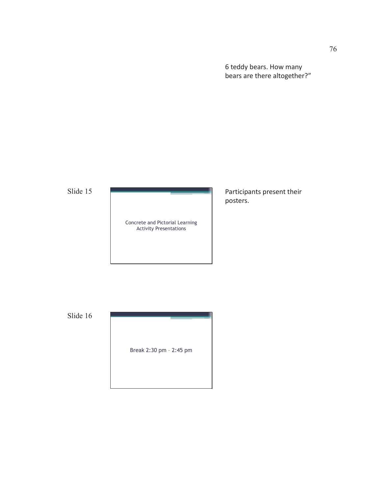6 teddy bears. How many bears are there altogether?"

Slide 15

Concrete and Pictorial Learning Activity Presentations

Participants present their posters.

Slide 16

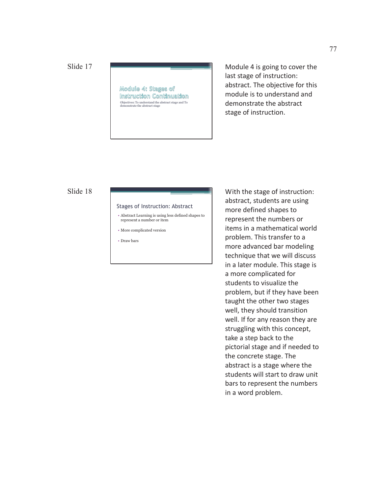Module 4: Stages of Instruction Continuation Objectives: To understand the abstract stage and To demonstrate the abstract stage

Module 4 is going to cover the last stage of instruction: abstract. The objective for this module is to understand and demonstrate the abstract stage of instruction.

# Slide 18

### Stages of Instruction: Abstract

- Abstract Learning is using less defined shapes to represent a number or item
- More complicated version
- Draw bars

With the stage of instruction: abstract, students are using more defined shapes to represent the numbers or items in a mathematical world problem. This transfer to a more advanced bar modeling technique that we will discuss in a later module. This stage is a more complicated for students to visualize the problem, but if they have been taught the other two stages well, they should transition well. If for any reason they are struggling with this concept, take a step back to the pictorial stage and if needed to the concrete stage. The abstract is a stage where the students will start to draw unit bars to represent the numbers in a word problem.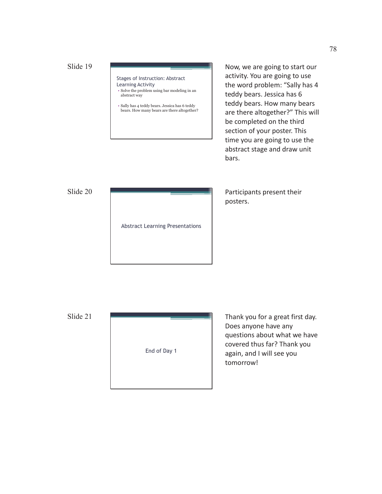Stages of Instruction: Abstract Learning Activity

- Solve the problem using bar modeling in an abstract way
- Sally has 4 teddy bears. Jessica has 6 teddy bears. How many bears are there altogether?

Now, we are going to start our activity. You are going to use the word problem: "Sally has 4 teddy bears. Jessica has 6 teddy bears. How many bears are there altogether?" This will be completed on the third section of your poster. This time you are going to use the abstract stage and draw unit bars.

Participants present their posters.

Slide 20



Slide 21



Thank you for a great first day. Does anyone have any questions about what we have covered thus far? Thank you again, and I will see you tomorrow!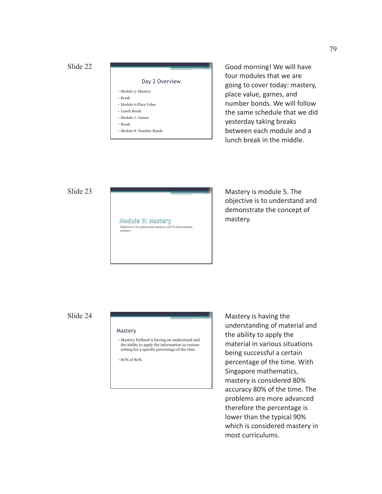### Day 2 Overview

- Module 5: Mastery
- Break
- Module 6:Place Value • Lunch Break
- Module 7: Games
- Break
- Module 8: Number Bonds

Good morning! We will have four modules that we are going to cover today: mastery, place value, games, and number bonds. We will follow the same schedule that we did yesterday taking breaks between each module and a lunch break in the middle.

Slide 23



Mastery is module 5. The objective is to understand and demonstrate the concept of mastery.

# Slide 24

### Mastery

• Mastery Defined is having an understand and the ability to apply the information in various setting for a specific percentage of the time

• 80% of 80%

Mastery is having the understanding of material and the ability to apply the material in various situations being successful a certain percentage of the time. With Singapore mathematics, mastery is considered 80% accuracy 80% of the time. The problems are more advanced therefore the percentage is lower than the typical 90% which is considered mastery in most curriculums.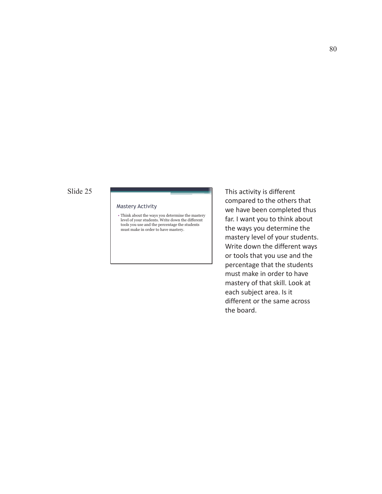### Mastery Activity

• Think about the ways you determine the mastery level of your students. Write down the different tools you use and the percentage the students must make in order to have mastery.

This activity is different compared to the others that we have been completed thus far. I want you to think about the ways you determine the mastery level of your students. Write down the different ways or tools that you use and the percentage that the students must make in order to have mastery of that skill. Look at each subject area. Is it different or the same across the board.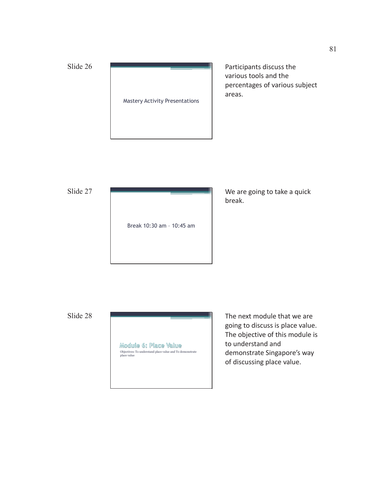

Participants discuss the various tools and the percentages of various subject areas.

Slide 27



We are going to take a quick break.

Slide 28



The next module that we are going to discuss is place value. The objective of this module is to understand and demonstrate Singapore's way of discussing place value.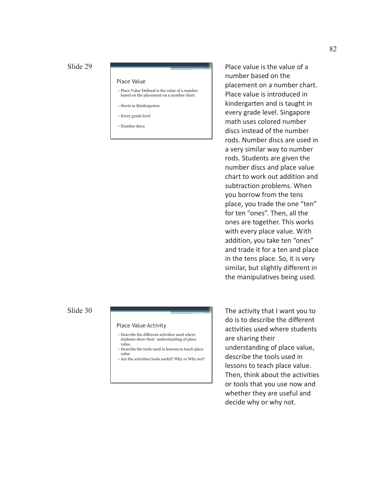### Place Value

- Place Value Defined is the value of a number based on the placement on a number chart.
- Starts in Kindergarten
- Every grade level
- Number discs

Place value is the value of a number based on the placement on a number chart. Place value is introduced in kindergarten and is taught in every grade level. Singapore math uses colored number discs instead of the number rods. Number discs are used in a very similar way to number rods. Students are given the number discs and place value chart to work out addition and subtraction problems. When you borrow from the tens place, you trade the one "ten" for ten "ones". Then, all the ones are together. This works with every place value. With addition, you take ten "ones" and trade it for a ten and place in the tens place. So, it is very similar, but slightly different in the manipulatives being used.

### Slide 30

### Place Value Activity

- Describe the different activities used where students show their understanding of place value.
- Describe the tools used in lessons to teach place value
- Are the activities/tools useful? Why or Why not?

The activity that I want you to do is to describe the different activities used where students are sharing their understanding of place value, describe the tools used in lessons to teach place value. Then, think about the activities or tools that you use now and whether they are useful and decide why or why not.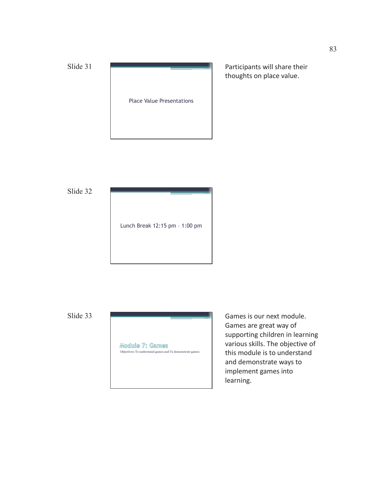

Participants will share their thoughts on place value.

Slide 32



Slide 33



Games is our next module. Games are great way of supporting children in learning various skills. The objective of this module is to understand and demonstrate ways to implement games into learning.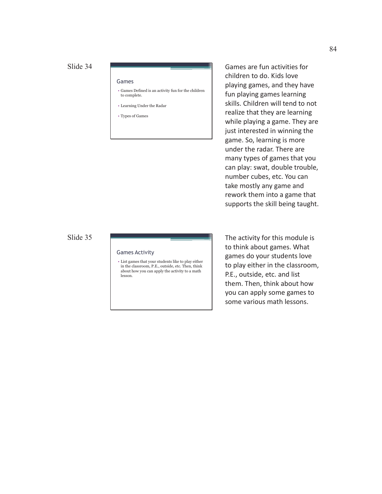### Games

- Games Defined is an activity fun for the children to complete.
- Learning Under the Radar
- Types of Games

Games are fun activities for children to do. Kids love playing games, and they have fun playing games learning skills. Children will tend to not realize that they are learning while playing a game. They are just interested in winning the game. So, learning is more under the radar. There are many types of games that you can play: swat, double trouble, number cubes, etc. You can take mostly any game and rework them into a game that supports the skill being taught.

# Slide 35

### Games Activity

• List games that your students like to play either in the classroom, P.E., outside, etc. Then, think about how you can apply the activity to a math lesson.

The activity for this module is to think about games. What games do your students love to play either in the classroom, P.E., outside, etc. and list them. Then, think about how you can apply some games to some various math lessons.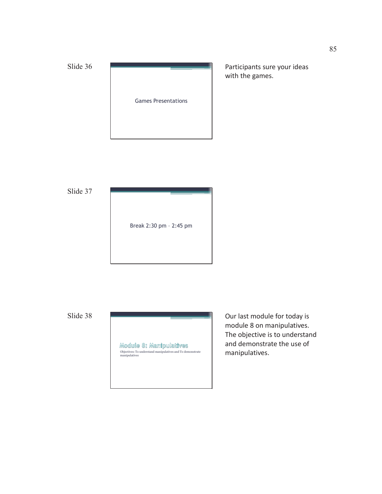

Participants sure your ideas with the games.

Slide 37



Slide 38



Our last module for today is module 8 on manipulatives. The objective is to understand and demonstrate the use of manipulatives.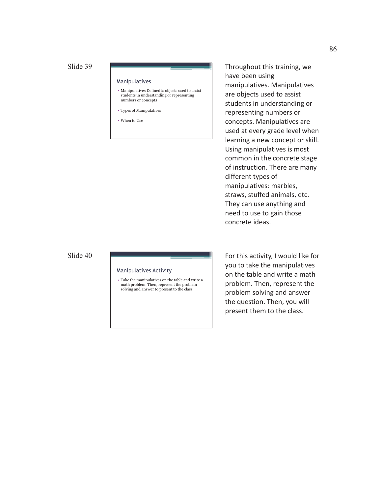### Manipulatives

- Manipulatives Defined is objects used to assist students in understanding or representing numbers or concepts
- Types of Manipulatives
- When to Use

Throughout this training, we have been using manipulatives. Manipulatives are objects used to assist students in understanding or representing numbers or concepts. Manipulatives are used at every grade level when learning a new concept or skill. Using manipulatives is most common in the concrete stage of instruction. There are many different types of manipulatives: marbles, straws, stuffed animals, etc. They can use anything and need to use to gain those concrete ideas.

# Slide 40

### Manipulatives Activity

• Take the manipulatives on the table and write a math problem. Then, represent the problem solving and answer to present to the class.

For this activity, I would like for you to take the manipulatives on the table and write a math problem. Then, represent the problem solving and answer the question. Then, you will present them to the class.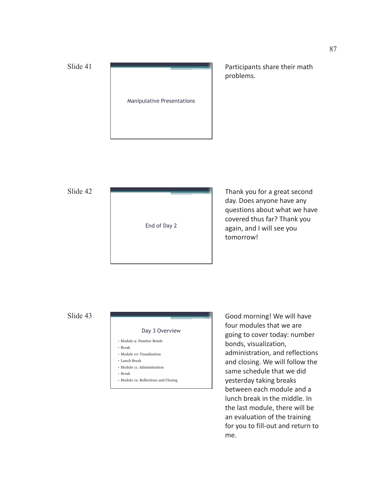

Participants share their math problems.

Slide 42



Thank you for a great second day. Does anyone have any questions about what we have covered thus far? Thank you again, and I will see you tomorrow!

Slide 43

# Day 3 Overview

- Module 9: Number Bonds
- Break
- Module 10: Visualization
- Lunch Break
- Module 11: Administration
- Break
- Module 12: Reflections and Closing

Good morning! We will have four modules that we are going to cover today: number bonds, visualization, administration, and reflections and closing. We will follow the same schedule that we did yesterday taking breaks between each module and a lunch break in the middle. In the last module, there will be an evaluation of the training for you to fill-out and return to me.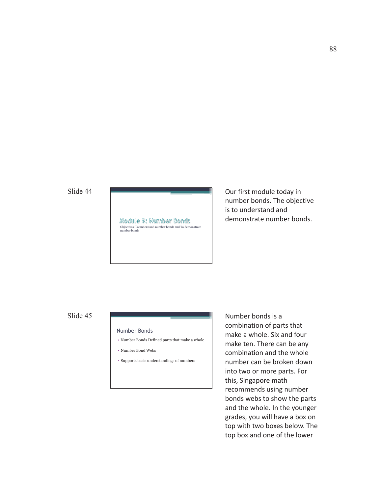Module 9: Number Bonds Objectives: To understand number bonds and To demonstrate number bonds Our first module today in number bonds. The objective is to understand and demonstrate number bonds.

# Slide 45

### Number Bonds

- Number Bonds Defined parts that make a whole
- Number Bond Webs
- Supports basic understandings of numbers

Number bonds is a combination of parts that make a whole. Six and four make ten. There can be any combination and the whole number can be broken down into two or more parts. For this, Singapore math recommends using number bonds webs to show the parts and the whole. In the younger grades, you will have a box on top with two boxes below. The top box and one of the lower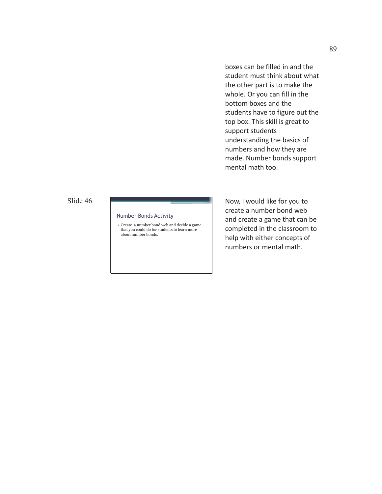boxes can be filled in and the student must think about what the other part is to make the whole. Or you can fill in the bottom boxes and the students have to figure out the top box. This skill is great to support students understanding the basics of numbers and how they are made. Number bonds support mental math too.

# Slide 46

### Number Bonds Activity

• Create a number bond web and decide a game that you could do for students to learn more about number bonds.

Now, I would like for you to create a number bond web and create a game that can be completed in the classroom to help with either concepts of numbers or mental math.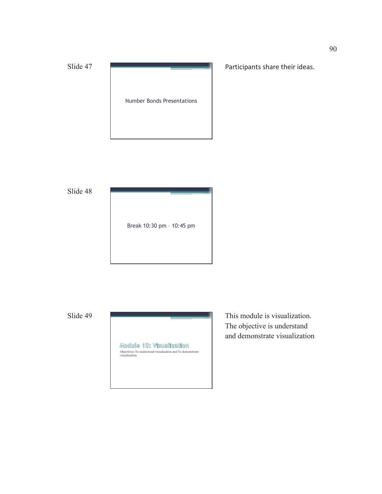

Participants share their ideas.

Slide 48



Slide 49



This module is visualization. The objective is understand and demonstrate visualization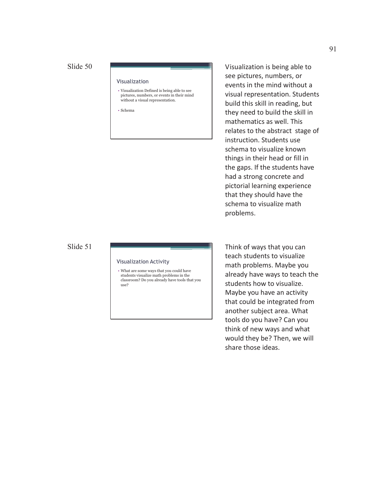### Visualization

• Visualization Defined is being able to see pictures, numbers, or events in their mind without a visual representation.

• Schema

events in the mind without a visual representation. Students build this skill in reading, but they need to build the skill in mathematics as well. This relates to the abstract stage of instruction. Students use schema to visualize known things in their head or fill in the gaps. If the students have had a strong concrete and pictorial learning experience that they should have the schema to visualize math problems.

Visualization is being able to see pictures, numbers, or

### Slide 51

#### Visualization Activity

• What are some ways that you could have students visualize math problems in the classroom? Do you already have tools that you use?

Think of ways that you can teach students to visualize math problems. Maybe you already have ways to teach the students how to visualize. Maybe you have an activity that could be integrated from another subject area. What tools do you have? Can you think of new ways and what would they be? Then, we will share those ideas.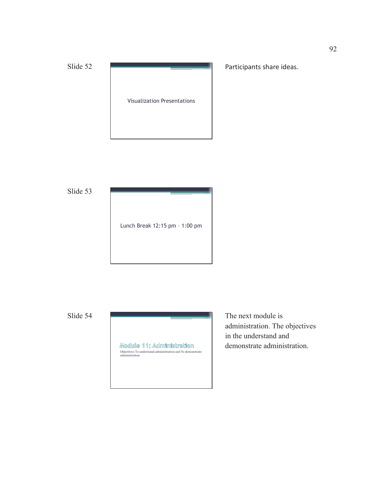

Participants share ideas.

Slide 53



Slide 54



The next module is administration. The objectives in the understand and demonstrate administration.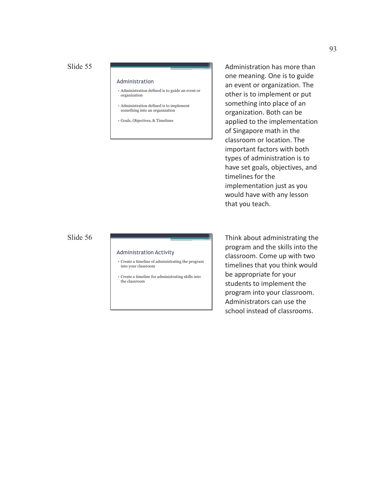### Administration

- Administration defined is to guide an event or organization
- Administration defined is to implement something into an organization
- Goals, Objectives, & Timelines

Administration has more than one meaning. One is to guide an event or organization. The other is to implement or put something into place of an organization. Both can be applied to the implementation of Singapore math in the classroom or location. The important factors with both types of administration is to have set goals, objectives, and timelines for the implementation just as you would have with any lesson that you teach.

# Slide 56

### Administration Activity

- Create a timeline of administrating the program into your classroom
- Create a timeline for administrating skills into the classroom

Think about administrating the program and the skills into the classroom. Come up with two timelines that you think would be appropriate for your students to implement the program into your classroom. Administrators can use the school instead of classrooms.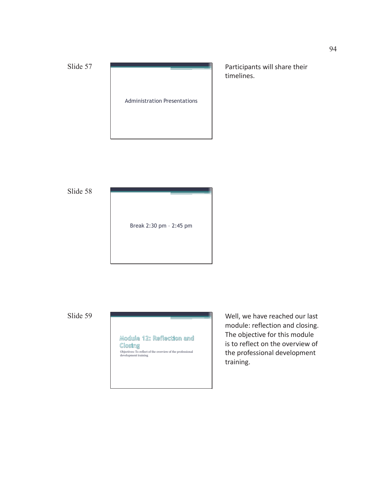



Participants will share their timelines.

Slide 58



Slide 59



Well, we have reached our last module: reflection and closing. The objective for this module is to reflect on the overview of the professional development training.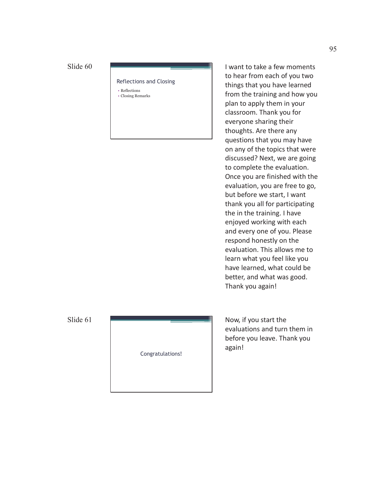Reflections and Closing

• Reflections • Closing Remarks to hear from each of you two things that you have learned from the training and how you plan to apply them in your classroom. Thank you for everyone sharing their thoughts. Are there any questions that you may have on any of the topics that were discussed? Next, we are going to complete the evaluation. Once you are finished with the evaluation, you are free to go, but before we start, I want thank you all for participating the in the training. I have enjoyed working with each and every one of you. Please respond honestly on the evaluation. This allows me to learn what you feel like you have learned, what could be better, and what was good. Thank you again!

I want to take a few moments

Slide 61



Now, if you start the evaluations and turn them in before you leave. Thank you again!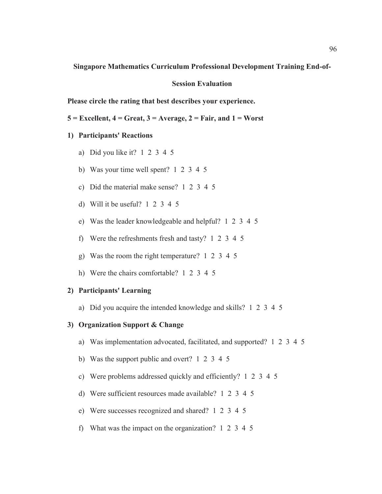**Singapore Mathematics Curriculum Professional Development Training End-of-**

## **Session Evaluation**

**Please circle the rating that best describes your experience.** 

**5 = Excellent, 4 = Great, 3 = Average, 2 = Fair, and 1 = Worst** 

# **1) Participants' Reactions**

- a) Did you like it? 1 2 3 4 5
- b) Was your time well spent? 1 2 3 4 5
- c) Did the material make sense? 1 2 3 4 5
- d) Will it be useful? 1 2 3 4 5
- e) Was the leader knowledgeable and helpful? 1 2 3 4 5
- f) Were the refreshments fresh and tasty? 1 2 3 4 5
- g) Was the room the right temperature? 1 2 3 4 5
- h) Were the chairs comfortable? 1 2 3 4 5

# **2) Participants' Learning**

a) Did you acquire the intended knowledge and skills? 1 2 3 4 5

# **3) Organization Support & Change**

- a) Was implementation advocated, facilitated, and supported? 1 2 3 4 5
- b) Was the support public and overt? 1 2 3 4 5
- c) Were problems addressed quickly and efficiently? 1 2 3 4 5
- d) Were sufficient resources made available? 1 2 3 4 5
- e) Were successes recognized and shared? 1 2 3 4 5
- f) What was the impact on the organization? 1 2 3 4 5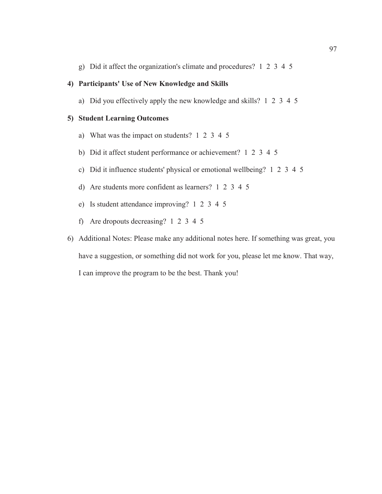g) Did it affect the organization's climate and procedures? 1 2 3 4 5

# **4) Participants' Use of New Knowledge and Skills**

a) Did you effectively apply the new knowledge and skills? 1 2 3 4 5

# **5) Student Learning Outcomes**

- a) What was the impact on students? 1 2 3 4 5
- b) Did it affect student performance or achievement? 1 2 3 4 5
- c) Did it influence students' physical or emotional wellbeing? 1 2 3 4 5
- d) Are students more confident as learners? 1 2 3 4 5
- e) Is student attendance improving? 1 2 3 4 5
- f) Are dropouts decreasing? 1 2 3 4 5
- 6) Additional Notes: Please make any additional notes here. If something was great, you have a suggestion, or something did not work for you, please let me know. That way, I can improve the program to be the best. Thank you!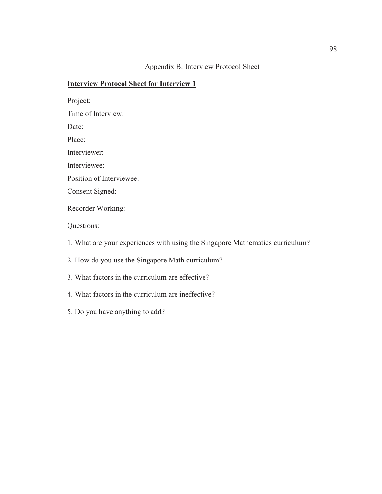# Appendix B: Interview Protocol Sheet

# **Interview Protocol Sheet for Interview 1**

- Project: Time of Interview: Date: Place: Interviewer: Interviewee: Position of Interviewee: Consent Signed: Recorder Working: Questions: 1. What are your experiences with using the Singapore Mathematics curriculum? 2. How do you use the Singapore Math curriculum?
- 3. What factors in the curriculum are effective?
- 4. What factors in the curriculum are ineffective?
- 5. Do you have anything to add?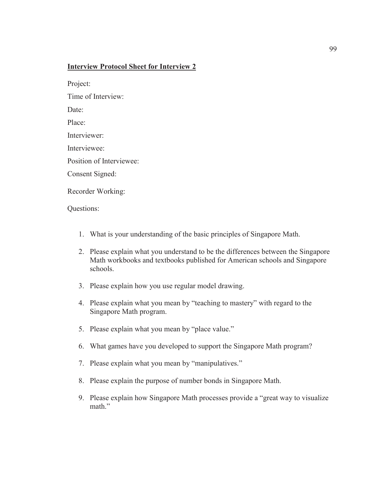#### **Interview Protocol Sheet for Interview 2**

Project: Time of Interview: Date: Place: Interviewer: Interviewee: Position of Interviewee: Consent Signed: Recorder Working:

Questions:

- 1. What is your understanding of the basic principles of Singapore Math.
- 2. Please explain what you understand to be the differences between the Singapore Math workbooks and textbooks published for American schools and Singapore schools.
- 3. Please explain how you use regular model drawing.
- 4. Please explain what you mean by "teaching to mastery" with regard to the Singapore Math program.
- 5. Please explain what you mean by "place value."
- 6. What games have you developed to support the Singapore Math program?
- 7. Please explain what you mean by "manipulatives."
- 8. Please explain the purpose of number bonds in Singapore Math.
- 9. Please explain how Singapore Math processes provide a "great way to visualize math"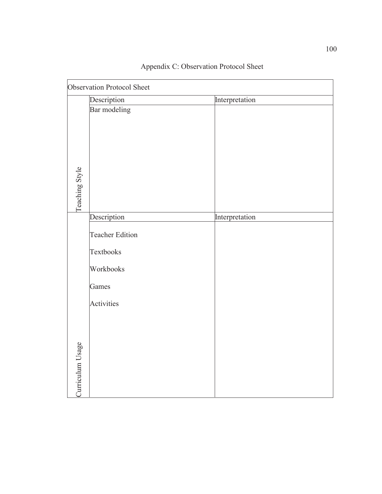| Observation Protocol Sheet |                                                                         |                |  |  |
|----------------------------|-------------------------------------------------------------------------|----------------|--|--|
|                            | Description                                                             | Interpretation |  |  |
| Teaching Style             | Bar modeling                                                            |                |  |  |
|                            | Description                                                             | Interpretation |  |  |
|                            | <b>Teacher Edition</b><br>Textbooks<br>Workbooks<br>Games<br>Activities |                |  |  |
| Curriculum Usage           |                                                                         |                |  |  |

# Appendix C: Observation Protocol Sheet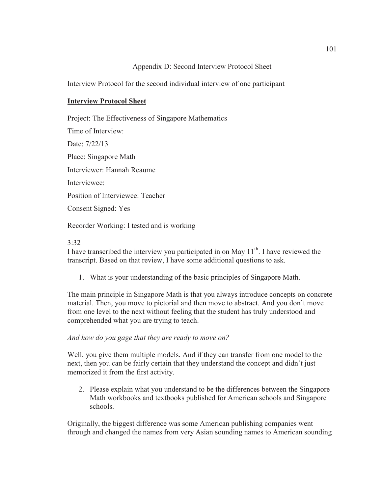## Appendix D: Second Interview Protocol Sheet

Interview Protocol for the second individual interview of one participant

#### **Interview Protocol Sheet**

Project: The Effectiveness of Singapore Mathematics

Time of Interview:

Date: 7/22/13

Place: Singapore Math

Interviewer: Hannah Reaume

Interviewee:

Position of Interviewee: Teacher

Consent Signed: Yes

Recorder Working: I tested and is working

## 3:32

I have transcribed the interview you participated in on May  $11<sup>th</sup>$ . I have reviewed the transcript. Based on that review, I have some additional questions to ask.

1. What is your understanding of the basic principles of Singapore Math.

The main principle in Singapore Math is that you always introduce concepts on concrete material. Then, you move to pictorial and then move to abstract. And you don't move from one level to the next without feeling that the student has truly understood and comprehended what you are trying to teach.

#### *And how do you gage that they are ready to move on?*

Well, you give them multiple models. And if they can transfer from one model to the next, then you can be fairly certain that they understand the concept and didn't just memorized it from the first activity.

2. Please explain what you understand to be the differences between the Singapore Math workbooks and textbooks published for American schools and Singapore schools.

Originally, the biggest difference was some American publishing companies went through and changed the names from very Asian sounding names to American sounding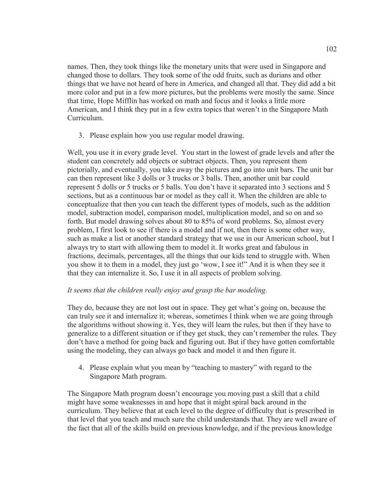names. Then, they took things like the monetary units that were used in Singapore and changed those to dollars. They took some of the odd fruits, such as durians and other things that we have not heard of here in America, and changed all that. They did add a bit more color and put in a few more pictures, but the problems were mostly the same. Since that time, Hope Mifflin has worked on math and focus and it looks a little more American, and I think they put in a few extra topics that weren't in the Singapore Math Curriculum.

3. Please explain how you use regular model drawing.

Well, you use it in every grade level. You start in the lowest of grade levels and after the student can concretely add objects or subtract objects. Then, you represent them pictorially, and eventually, you take away the pictures and go into unit bars. The unit bar can then represent like 3 dolls or 3 trucks or 3 balls. Then, another unit bar could represent 5 dolls or 5 trucks or 5 balls. You don't have it separated into 3 sections and 5 sections, but as a continuous bar or model as they call it. When the children are able to conceptualize that then you can teach the different types of models, such as the addition model, subtraction model, comparison model, multiplication model, and so on and so forth. But model drawing solves about 80 to 85% of word problems. So, almost every problem, I first look to see if there is a model and if not, then there is some other way, such as make a list or another standard strategy that we use in our American school, but I always try to start with allowing them to model it. It works great and fabulous in fractions, decimals, percentages, all the things that our kids tend to struggle with. When you show it to them in a model, they just go 'wow, I see it!" And it is when they see it that they can internalize it. So, I use it in all aspects of problem solving.

#### *It seems that the children really enjoy and grasp the bar modeling.*

They do, because they are not lost out in space. They get what's going on, because the can truly see it and internalize it; whereas, sometimes I think when we are going through the algorithms without showing it. Yes, they will learn the rules, but then if they have to generalize to a different situation or if they get stuck, they can't remember the rules. They don't have a method for going back and figuring out. But if they have gotten comfortable using the modeling, they can always go back and model it and then figure it.

4. Please explain what you mean by "teaching to mastery" with regard to the Singapore Math program.

The Singapore Math program doesn't encourage you moving past a skill that a child might have some weaknesses in and hope that it might spiral back around in the curriculum. They believe that at each level to the degree of difficulty that is prescribed in that level that you teach and much sure the child understands that. They are well aware of the fact that all of the skills build on previous knowledge, and if the previous knowledge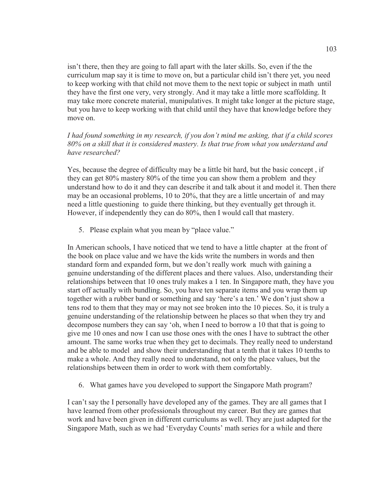isn't there, then they are going to fall apart with the later skills. So, even if the the curriculum map say it is time to move on, but a particular child isn't there yet, you need to keep working with that child not move them to the next topic or subject in math until they have the first one very, very strongly. And it may take a little more scaffolding. It may take more concrete material, munipulatives. It might take longer at the picture stage, but you have to keep working with that child until they have that knowledge before they move on.

*I had found something in my research, if you don't mind me asking, that if a child scores 80% on a skill that it is considered mastery. Is that true from what you understand and have researched?* 

Yes, because the degree of difficulty may be a little bit hard, but the basic concept , if they can get 80% mastery 80% of the time you can show them a problem and they understand how to do it and they can describe it and talk about it and model it. Then there may be an occasional problems, 10 to 20%, that they are a little uncertain of and may need a little questioning to guide there thinking, but they eventually get through it. However, if independently they can do 80%, then I would call that mastery.

5. Please explain what you mean by "place value."

In American schools, I have noticed that we tend to have a little chapter at the front of the book on place value and we have the kids write the numbers in words and then standard form and expanded form, but we don't really work much with gaining a genuine understanding of the different places and there values. Also, understanding their relationships between that 10 ones truly makes a 1 ten. In Singapore math, they have you start off actually with bundling. So, you have ten separate items and you wrap them up together with a rubber band or something and say 'here's a ten.' We don't just show a tens rod to them that they may or may not see broken into the 10 pieces. So, it is truly a genuine understanding of the relationship between he places so that when they try and decompose numbers they can say 'oh, when I need to borrow a 10 that that is going to give me 10 ones and now I can use those ones with the ones I have to subtract the other amount. The same works true when they get to decimals. They really need to understand and be able to model and show their understanding that a tenth that it takes 10 tenths to make a whole. And they really need to understand, not only the place values, but the relationships between them in order to work with them comfortably.

6. What games have you developed to support the Singapore Math program?

I can't say the I personally have developed any of the games. They are all games that I have learned from other professionals throughout my career. But they are games that work and have been given in different curriculums as well. They are just adapted for the Singapore Math, such as we had 'Everyday Counts' math series for a while and there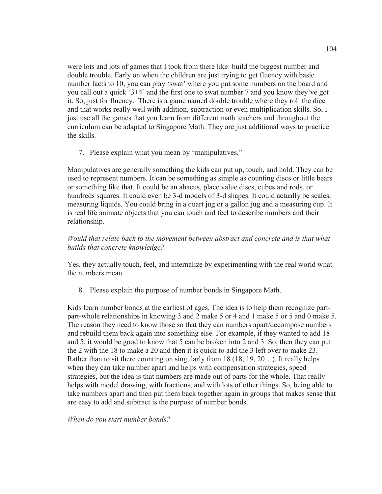were lots and lots of games that I took from there like: build the biggest number and double trouble. Early on when the children are just trying to get fluency with basic number facts to 10, you can play 'swat' where you put some numbers on the board and you call out a quick '3+4' and the first one to swat number 7 and you know they've got it. So, just for fluency. There is a game named double trouble where they roll the dice and that works really well with addition, subtraction or even multiplication skills. So, I just use all the games that you learn from different math teachers and throughout the curriculum can be adapted to Singapore Math. They are just additional ways to practice the skills.

7. Please explain what you mean by "manipulatives."

Manipulatives are generally something the kids can put up, touch, and hold. They can be used to represent numbers. It can be something as simple as counting discs or little bears or something like that. It could be an abacus, place value discs, cubes and rods, or hundreds squares. It could even be 3-d models of 3-d shapes. It could actually be scales, measuring liquids. You could bring in a quart jug or a gallon jug and a measuring cup. It is real life animate objects that you can touch and feel to describe numbers and their relationship.

## *Would that relate back to the movement between abstract and concrete and is that what builds that concrete knowledge?*

Yes, they actually touch, feel, and internalize by experimenting with the real world what the numbers mean.

8. Please explain the purpose of number bonds in Singapore Math.

Kids learn number bonds at the earliest of ages. The idea is to help them recognize partpart-whole relationships in knowing 3 and 2 make 5 or 4 and 1 make 5 or 5 and 0 make 5. The reason they need to know those so that they can numbers apart/decompose numbers and rebuild them back again into something else. For example, if they wanted to add 18 and 5, it would be good to know that 5 can be broken into 2 and 3. So, then they can put the 2 with the 18 to make a 20 and then it is quick to add the 3 left over to make 23. Rather than to sit there counting on singularly from 18 (18, 19, 20…). It really helps when they can take number apart and helps with compensation strategies, speed strategies, but the idea is that numbers are made out of parts for the whole. That really helps with model drawing, with fractions, and with lots of other things. So, being able to take numbers apart and then put them back together again in groups that makes sense that are easy to add and subtract is the purpose of number bonds.

*When do you start number bonds?*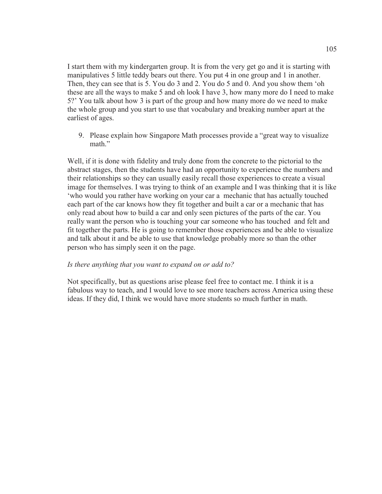I start them with my kindergarten group. It is from the very get go and it is starting with manipulatives 5 little teddy bears out there. You put 4 in one group and 1 in another. Then, they can see that is 5. You do 3 and 2. You do 5 and 0. And you show them 'oh these are all the ways to make 5 and oh look I have 3, how many more do I need to make 5?' You talk about how 3 is part of the group and how many more do we need to make the whole group and you start to use that vocabulary and breaking number apart at the earliest of ages.

9. Please explain how Singapore Math processes provide a "great way to visualize math"

Well, if it is done with fidelity and truly done from the concrete to the pictorial to the abstract stages, then the students have had an opportunity to experience the numbers and their relationships so they can usually easily recall those experiences to create a visual image for themselves. I was trying to think of an example and I was thinking that it is like 'who would you rather have working on your car a mechanic that has actually touched each part of the car knows how they fit together and built a car or a mechanic that has only read about how to build a car and only seen pictures of the parts of the car. You really want the person who is touching your car someone who has touched and felt and fit together the parts. He is going to remember those experiences and be able to visualize and talk about it and be able to use that knowledge probably more so than the other person who has simply seen it on the page.

#### *Is there anything that you want to expand on or add to?*

Not specifically, but as questions arise please feel free to contact me. I think it is a fabulous way to teach, and I would love to see more teachers across America using these ideas. If they did, I think we would have more students so much further in math.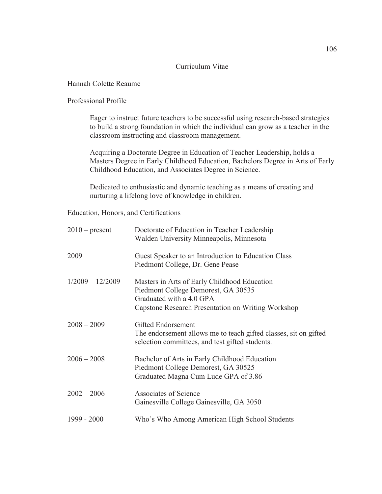#### Curriculum Vitae

Hannah Colette Reaume

Professional Profile

 Eager to instruct future teachers to be successful using research-based strategies to build a strong foundation in which the individual can grow as a teacher in the classroom instructing and classroom management.

Acquiring a Doctorate Degree in Education of Teacher Leadership, holds a Masters Degree in Early Childhood Education, Bachelors Degree in Arts of Early Childhood Education, and Associates Degree in Science.

 Dedicated to enthusiastic and dynamic teaching as a means of creating and nurturing a lifelong love of knowledge in children.

Education, Honors, and Certifications

| $2010$ – present   | Doctorate of Education in Teacher Leadership<br>Walden University Minneapolis, Minnesota                                                                              |
|--------------------|-----------------------------------------------------------------------------------------------------------------------------------------------------------------------|
| 2009               | Guest Speaker to an Introduction to Education Class<br>Piedmont College, Dr. Gene Pease                                                                               |
| $1/2009 - 12/2009$ | Masters in Arts of Early Childhood Education<br>Piedmont College Demorest, GA 30535<br>Graduated with a 4.0 GPA<br>Capstone Research Presentation on Writing Workshop |
| $2008 - 2009$      | Gifted Endorsement<br>The endorsement allows me to teach gifted classes, sit on gifted<br>selection committees, and test gifted students.                             |
| $2006 - 2008$      | Bachelor of Arts in Early Childhood Education<br>Piedmont College Demorest, GA 30525<br>Graduated Magna Cum Lude GPA of 3.86                                          |
| $2002 - 2006$      | <b>Associates of Science</b><br>Gainesville College Gainesville, GA 3050                                                                                              |
| $1999 - 2000$      | Who's Who Among American High School Students                                                                                                                         |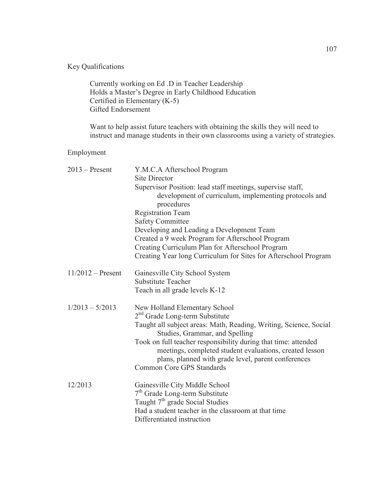Key Qualifications

 Currently working on Ed .D in Teacher Leadership Holds a Master's Degree in Early Childhood Education Certified in Elementary (K-5) Gifted Endorsement

 Want to help assist future teachers with obtaining the skills they will need to instruct and manage students in their own classrooms using a variety of strategies.

# Employment

| $2013$ – Present    | Y.M.C.A Afterschool Program                                                                                                                                                      |
|---------------------|----------------------------------------------------------------------------------------------------------------------------------------------------------------------------------|
|                     | <b>Site Director</b>                                                                                                                                                             |
|                     | Supervisor Position: lead staff meetings, supervise staff,<br>development of curriculum, implementing protocols and<br>procedures                                                |
|                     | <b>Registration Team</b>                                                                                                                                                         |
|                     |                                                                                                                                                                                  |
|                     | <b>Safety Committee</b>                                                                                                                                                          |
|                     | Developing and Leading a Development Team                                                                                                                                        |
|                     | Created a 9 week Program for Afterschool Program                                                                                                                                 |
|                     | Creating Curriculum Plan for Afterschool Program                                                                                                                                 |
|                     | Creating Year long Curriculum for Sites for Afterschool Program                                                                                                                  |
| $11/2012$ – Present | Gainesville City School System                                                                                                                                                   |
|                     | <b>Substitute Teacher</b>                                                                                                                                                        |
|                     | Teach in all grade levels K-12                                                                                                                                                   |
| $1/2013 - 5/2013$   | New Holland Elementary School                                                                                                                                                    |
|                     | $2nd$ Grade Long-term Substitute                                                                                                                                                 |
|                     | Taught all subject areas: Math, Reading, Writing, Science, Social<br>Studies, Grammar, and Spelling                                                                              |
|                     | Took on full teacher responsibility during that time: attended<br>meetings, completed student evaluations, created lesson<br>plans, planned with grade level, parent conferences |
|                     | <b>Common Core GPS Standards</b>                                                                                                                                                 |
| 12/2013             | Gainesville City Middle School                                                                                                                                                   |
|                     | 7 <sup>th</sup> Grade Long-term Substitute                                                                                                                                       |
|                     | Taught 7 <sup>th</sup> grade Social Studies                                                                                                                                      |
|                     | Had a student teacher in the classroom at that time                                                                                                                              |
|                     | Differentiated instruction                                                                                                                                                       |